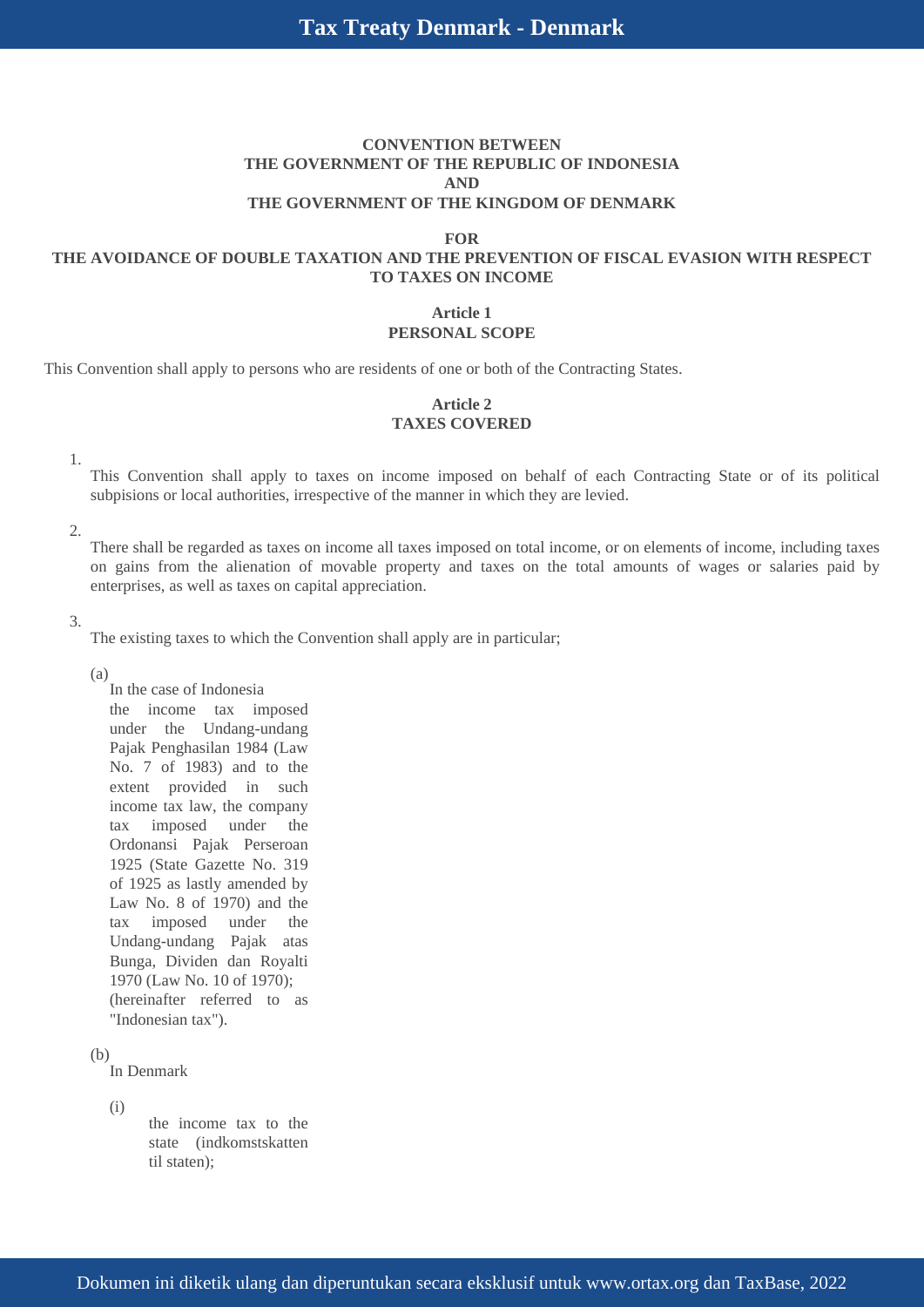# **CONVENTION BETWEEN THE GOVERNMENT OF THE REPUBLIC OF INDONESIA AND THE GOVERNMENT OF THE KINGDOM OF DENMARK**

#### **FOR**

# **THE AVOIDANCE OF DOUBLE TAXATION AND THE PREVENTION OF FISCAL EVASION WITH RESPECT TO TAXES ON INCOME**

# **Article 1 PERSONAL SCOPE**

This Convention shall apply to persons who are residents of one or both of the Contracting States.

# **Article 2 TAXES COVERED**

1.

This Convention shall apply to taxes on income imposed on behalf of each Contracting State or of its political subpisions or local authorities, irrespective of the manner in which they are levied.

2.

There shall be regarded as taxes on income all taxes imposed on total income, or on elements of income, including taxes on gains from the alienation of movable property and taxes on the total amounts of wages or salaries paid by enterprises, as well as taxes on capital appreciation.

3.

The existing taxes to which the Convention shall apply are in particular;

(a)

In the case of Indonesia the income tax imposed under the Undang-undang Pajak Penghasilan 1984 (Law No. 7 of 1983) and to the extent provided in such income tax law, the company tax imposed under the Ordonansi Pajak Perseroan 1925 (State Gazette No. 319 of 1925 as lastly amended by Law No. 8 of 1970) and the tax imposed under the Undang-undang Pajak atas Bunga, Dividen dan Royalti 1970 (Law No. 10 of 1970); (hereinafter referred to as "Indonesian tax").

(b)

In Denmark

(i)

the income tax to the state (indkomstskatten til staten);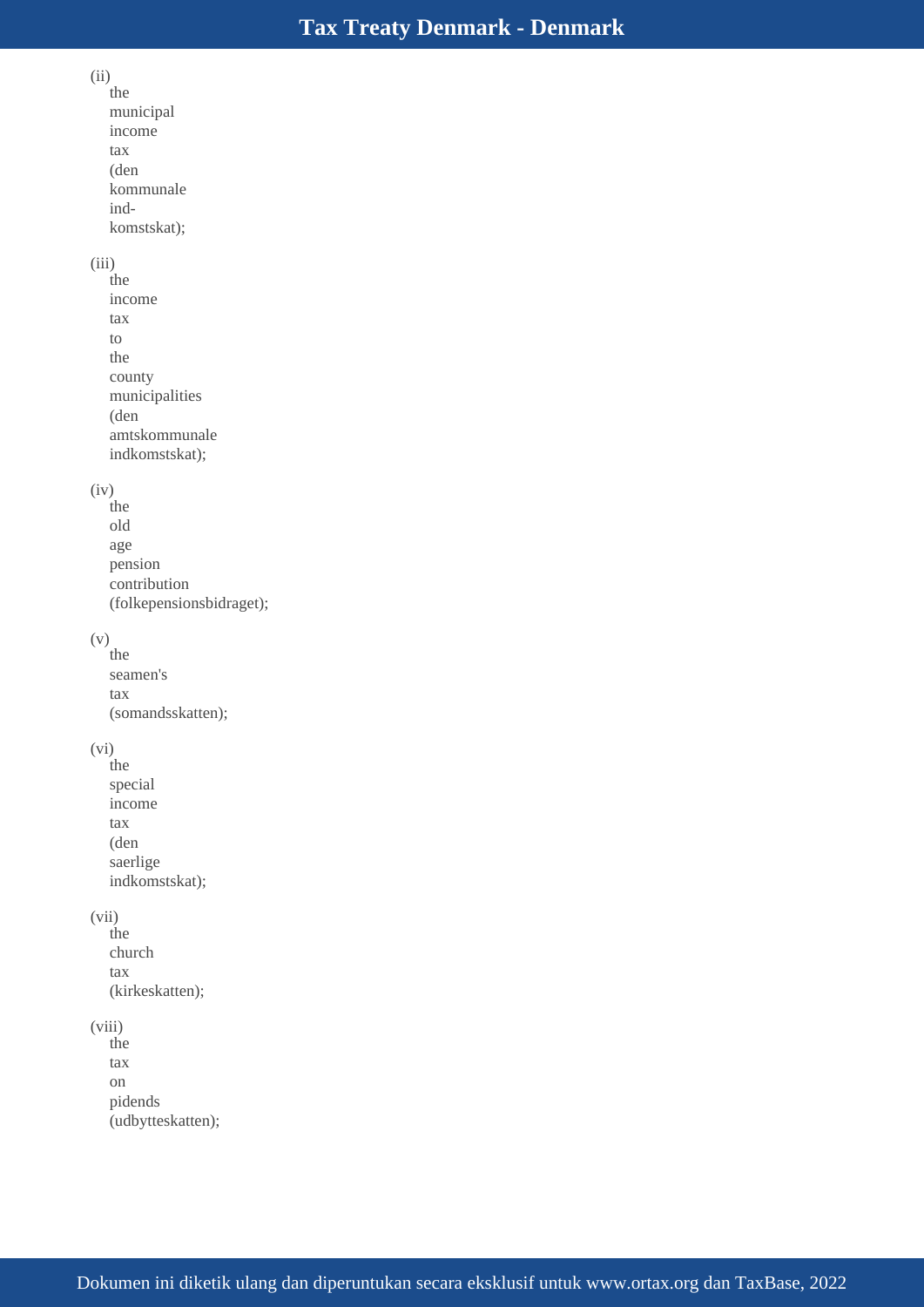(ii) the municipal income tax (den kommunale indkomstskat);  $(iii)$ the income tax to the county municipalities (den amtskommunale indkomstskat); (iv) the old age pension contribution (folkepensionsbidraget); (v) the seamen's tax (somandsskatten); (vi) the special income tax (den saerlige indkomstskat); (vii) the church tax (kirkeskatten);  $(viii)$ the tax on pidends (udbytteskatten);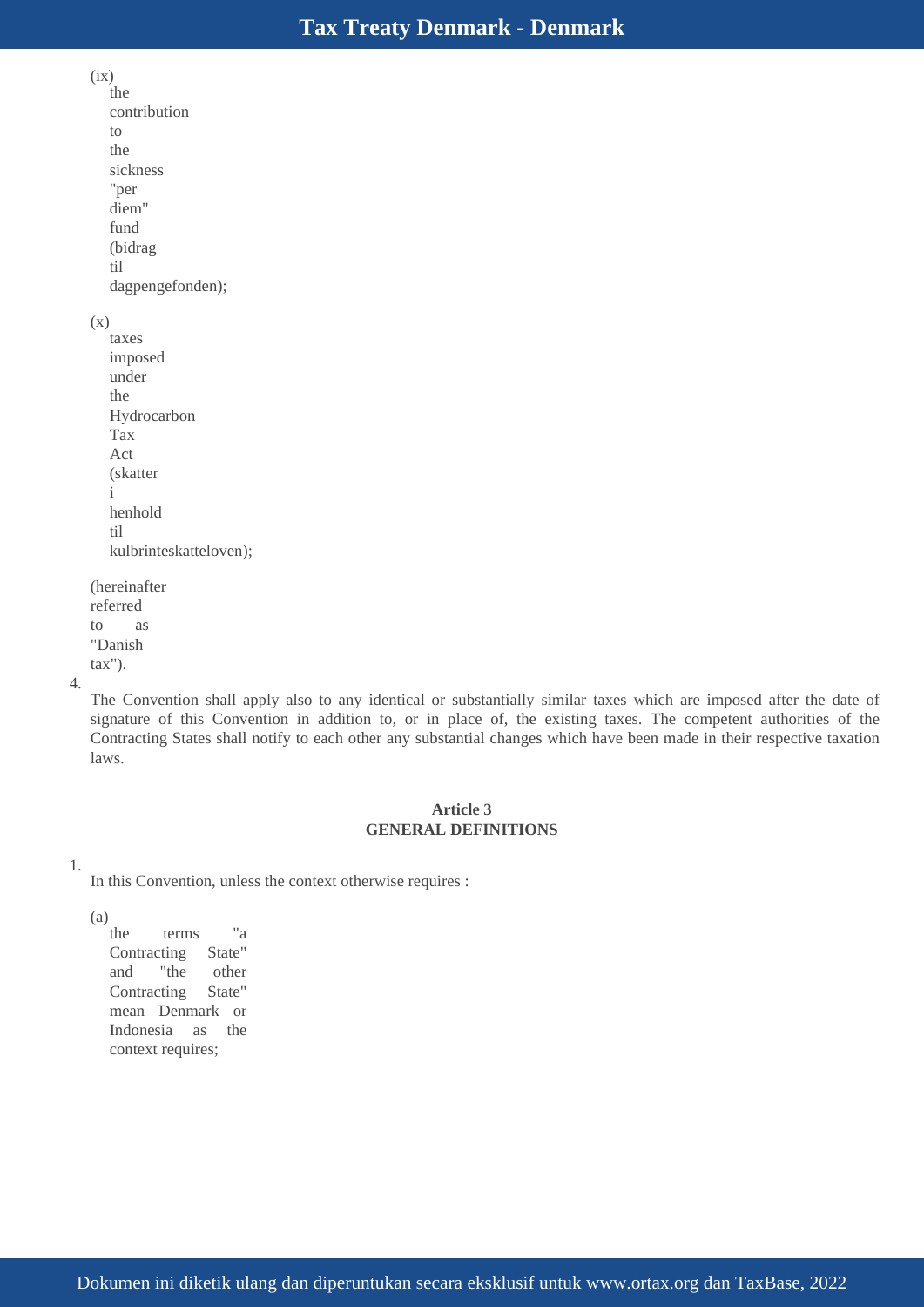(ix) the contribution to the sickness "per diem" fund (bidrag til dagpengefonden);

(x)

taxes imposed under the Hydrocarbon Tax Act (skatter i henhold til kulbrinteskatteloven); (hereinafter

referred to as "Danish tax").

4.

The Convention shall apply also to any identical or substantially similar taxes which are imposed after the date of signature of this Convention in addition to, or in place of, the existing taxes. The competent authorities of the Contracting States shall notify to each other any substantial changes which have been made in their respective taxation laws.

# **Article 3 GENERAL DEFINITIONS**

1.

In this Convention, unless the context otherwise requires :

(a)

terms "a Contracting State" and "the other Contracting State" mean Denmark or Indonesia as the context requires;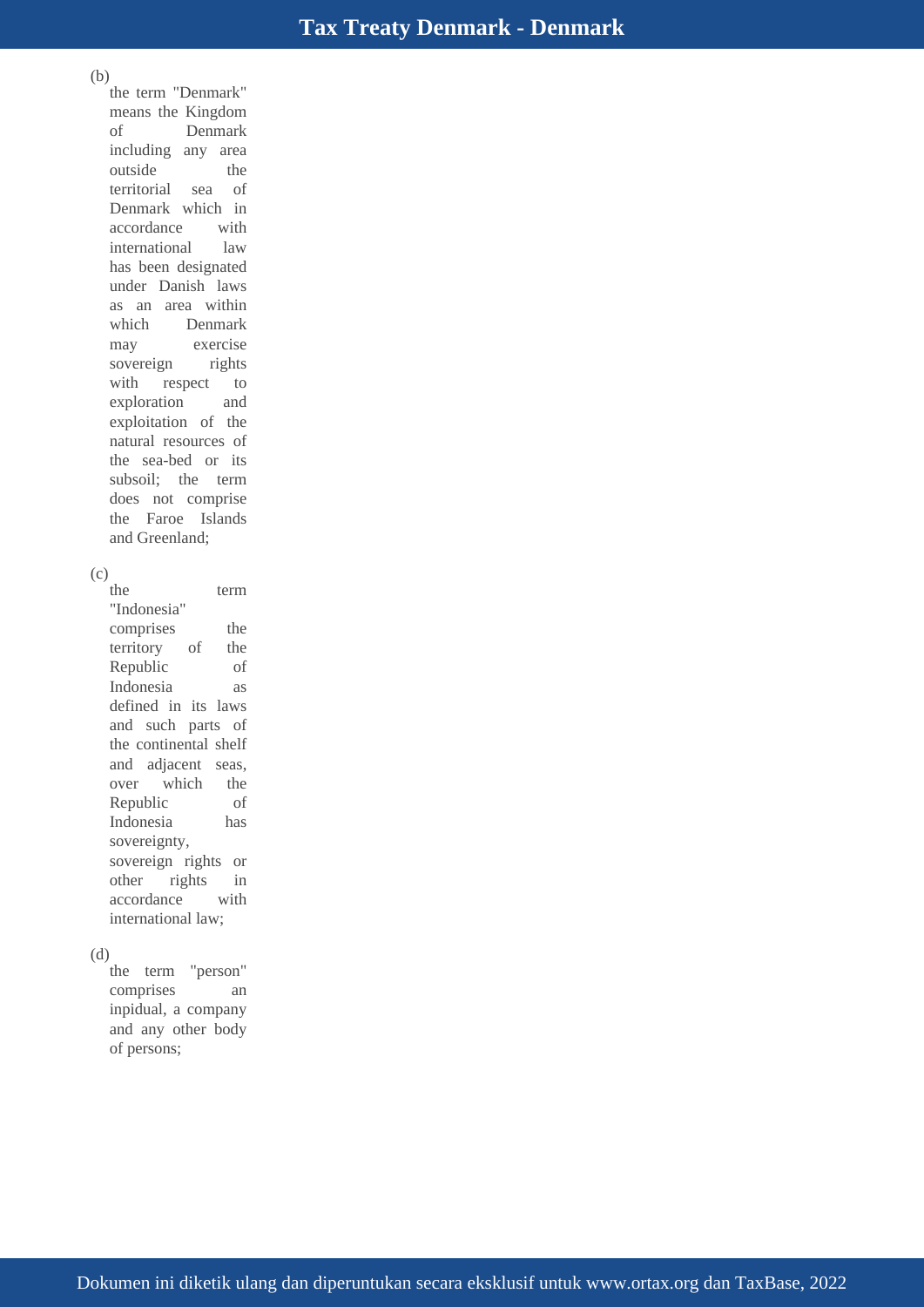(b)

the term "Denmark" means the Kingdom of Denmark including any area outside the territorial sea of Denmark which in accordance with international law has been designated under Danish laws as an area within which Denmark may exercise sovereign rights with respect to exploration and exploitation of the natural resources of the sea-bed or its subsoil; the term does not comprise the Faroe Islands and Greenland;

# $(c)$ <br>the

term "Indonesia" comprises the territory of the Republic of Indonesia as defined in its laws and such parts of the continental shelf and adjacent seas, over which the Republic of Indonesia has sovereignty, sovereign rights or other rights in accordance with international law;

### (d)

the term "person" comprises an inpidual, a company and any other body of persons;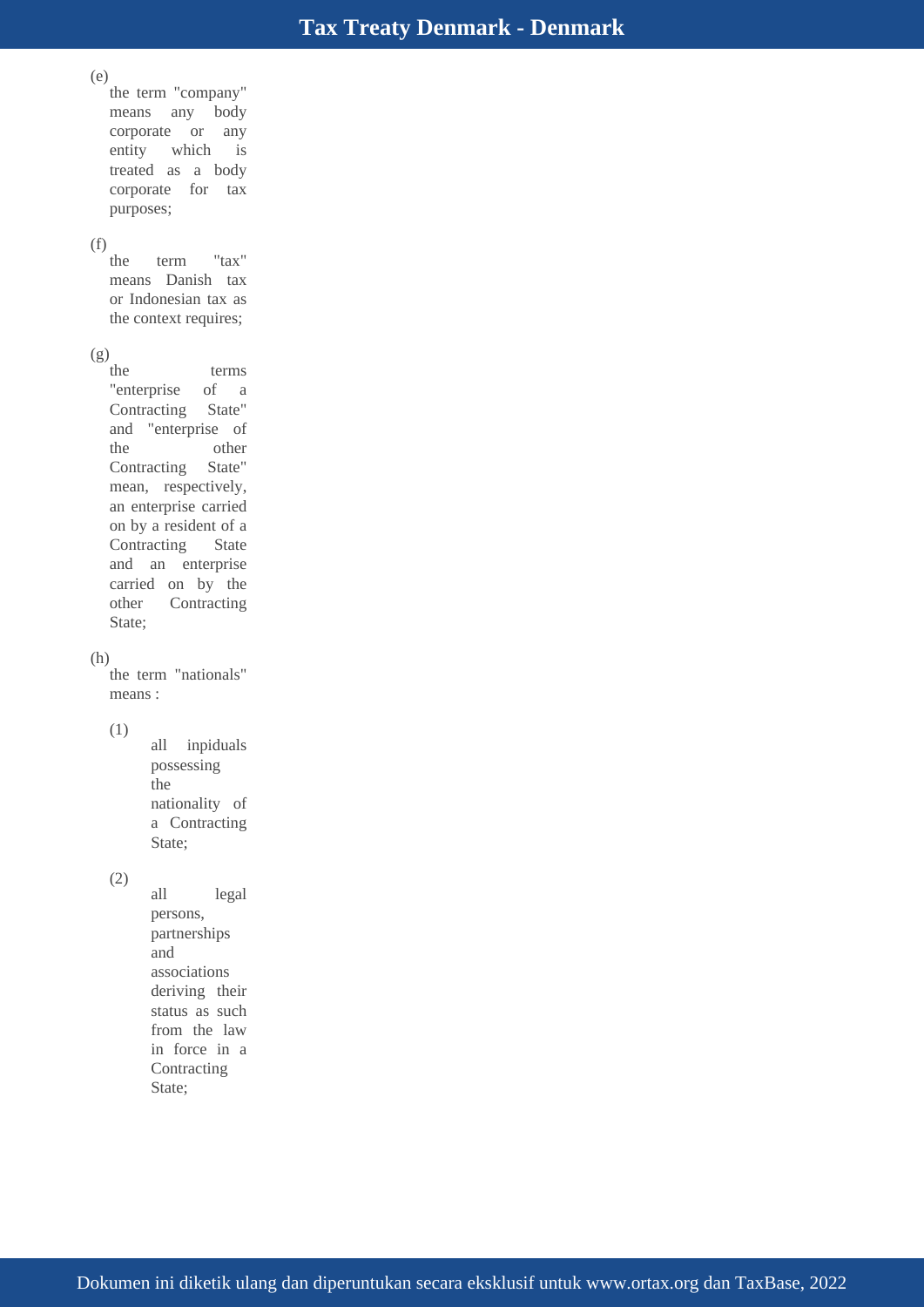(e)

the term "company" means any body corporate or any entity which is treated as a body corporate for tax purposes;

(f) term "tax" means Danish tax or Indonesian tax as the context requires;

# $(g)$ <br>the

terms "enterprise of a Contracting State" and "enterprise of the other Contracting State" mean, respectively, an enterprise carried on by a resident of a Contracting State and an enterprise carried on by the other Contracting State:

# (h)

the term "nationals" means :

## (1)

all inpiduals possessing the nationality of a Contracting State;

(2)

all legal persons, partnerships and associations deriving their status as such from the law in force in a Contracting State;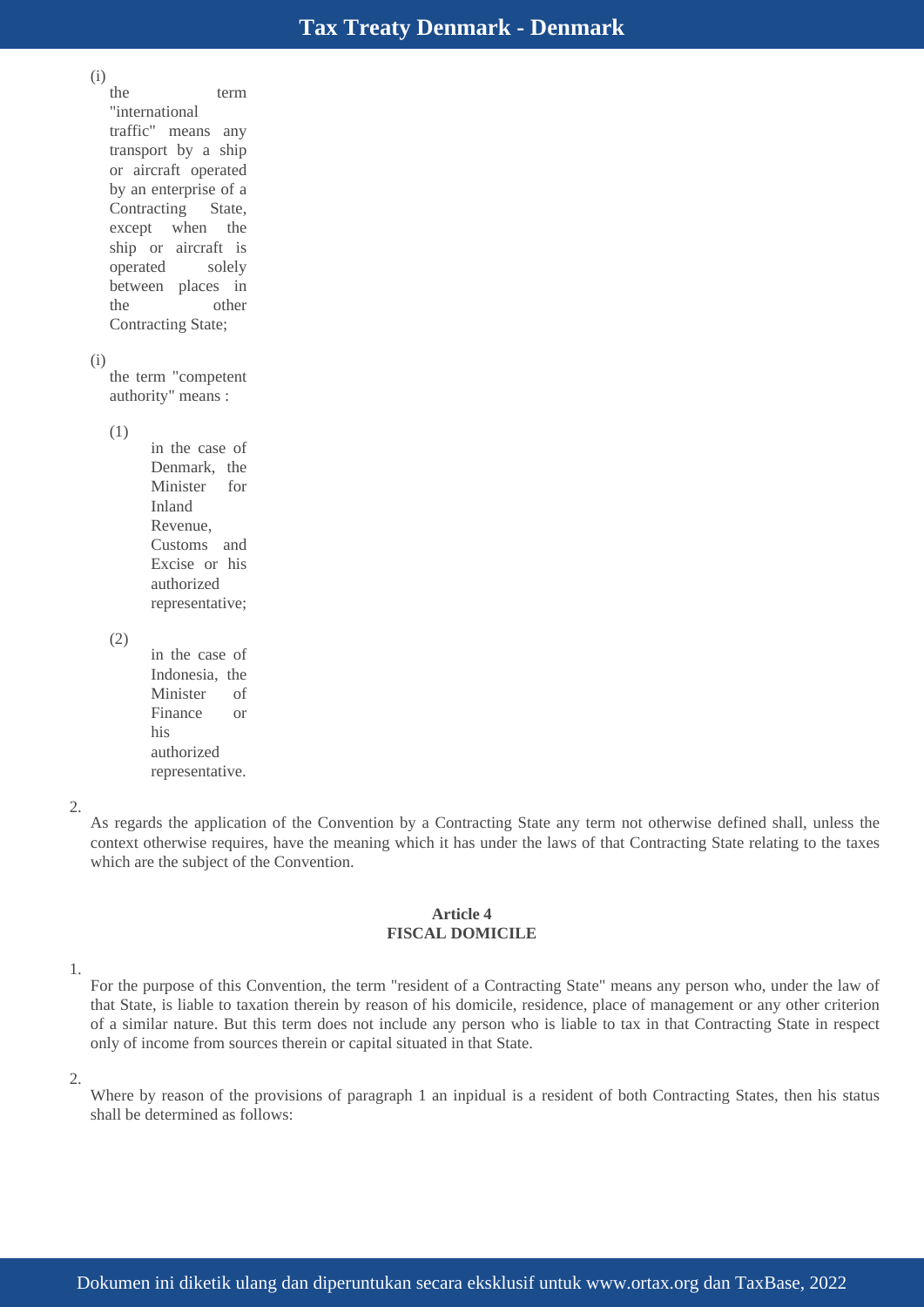(i) the term "international traffic" means any transport by a ship or aircraft operated by an enterprise of a Contracting State, except when the ship or aircraft is operated solely between places in the other Contracting State;

### (i)

the term "competent authority" means :

(1)

in the case of Denmark, the Minister for Inland Revenue, Customs and Excise or his authorized representative;

(2)

in the case of Indonesia, the Minister of Finance or his authorized representative.

2.

As regards the application of the Convention by a Contracting State any term not otherwise defined shall, unless the context otherwise requires, have the meaning which it has under the laws of that Contracting State relating to the taxes which are the subject of the Convention.

# **Article 4 FISCAL DOMICILE**

1.

For the purpose of this Convention, the term "resident of a Contracting State" means any person who, under the law of that State, is liable to taxation therein by reason of his domicile, residence, place of management or any other criterion of a similar nature. But this term does not include any person who is liable to tax in that Contracting State in respect only of income from sources therein or capital situated in that State.

2.

Where by reason of the provisions of paragraph 1 an inpidual is a resident of both Contracting States, then his status shall be determined as follows: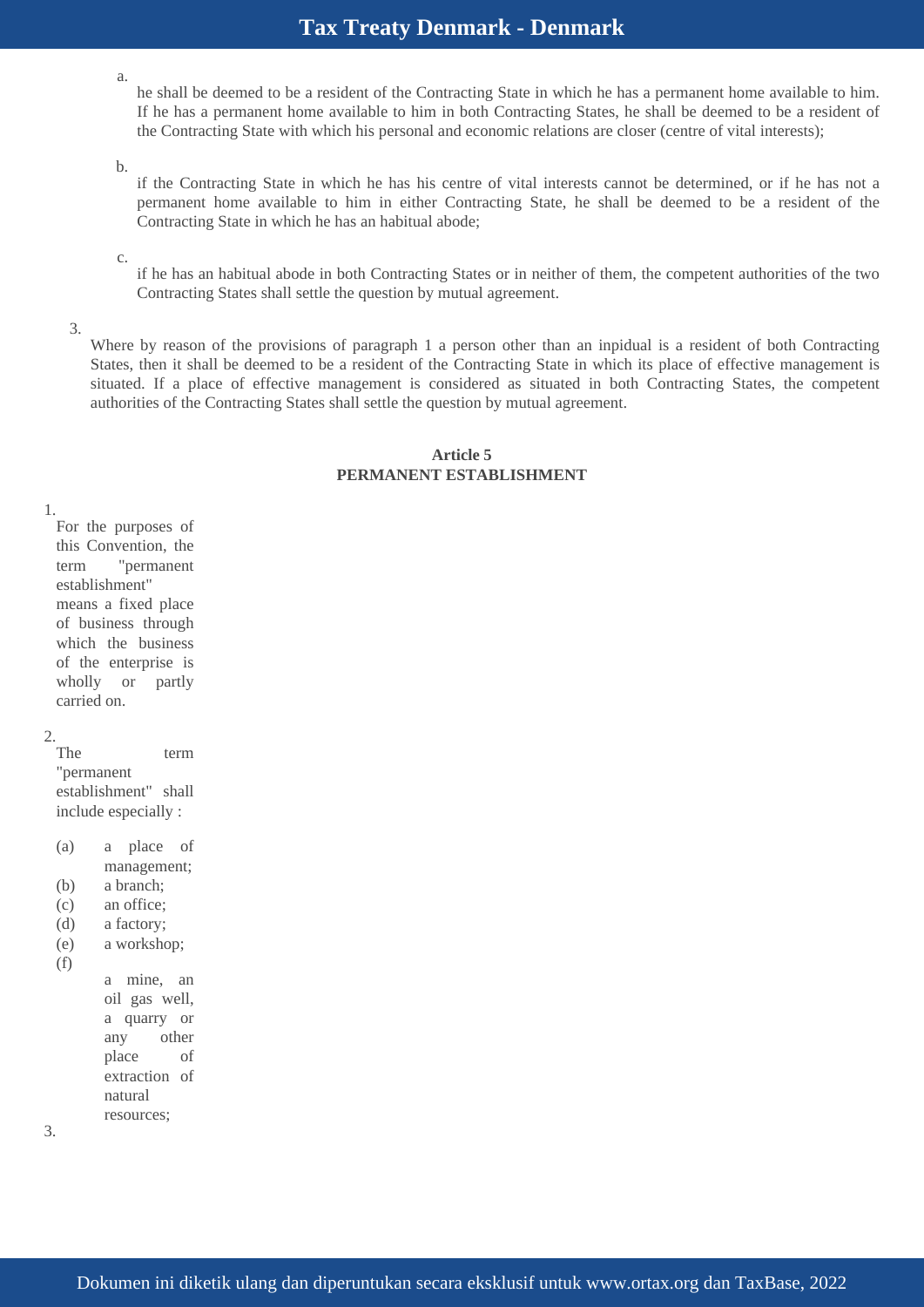# **Tax Treaty Denmark - Denmark**

he shall be deemed to be a resident of the Contracting State in which he has a permanent home available to him. If he has a permanent home available to him in both Contracting States, he shall be deemed to be a resident of the Contracting State with which his personal and economic relations are closer (centre of vital interests);

b.

a.

if the Contracting State in which he has his centre of vital interests cannot be determined, or if he has not a permanent home available to him in either Contracting State, he shall be deemed to be a resident of the Contracting State in which he has an habitual abode;

c.

if he has an habitual abode in both Contracting States or in neither of them, the competent authorities of the two Contracting States shall settle the question by mutual agreement.

3.

Where by reason of the provisions of paragraph 1 a person other than an inpidual is a resident of both Contracting States, then it shall be deemed to be a resident of the Contracting State in which its place of effective management is situated. If a place of effective management is considered as situated in both Contracting States, the competent authorities of the Contracting States shall settle the question by mutual agreement.

# **Article 5 PERMANENT ESTABLISHMENT**

1.

For the purposes of this Convention, the term "permanent establishment" means a fixed place of business through which the business of the enterprise is wholly or partly carried on.

# 2.<br>The

term "permanent establishment" shall include especially :

- (a) a place of management;
- (b) a branch;
- (c) an office;
- (d) a factory;
- (e) a workshop;
- (f)
- a mine, an oil gas well, a quarry or any other place of extraction of natural resources;

3.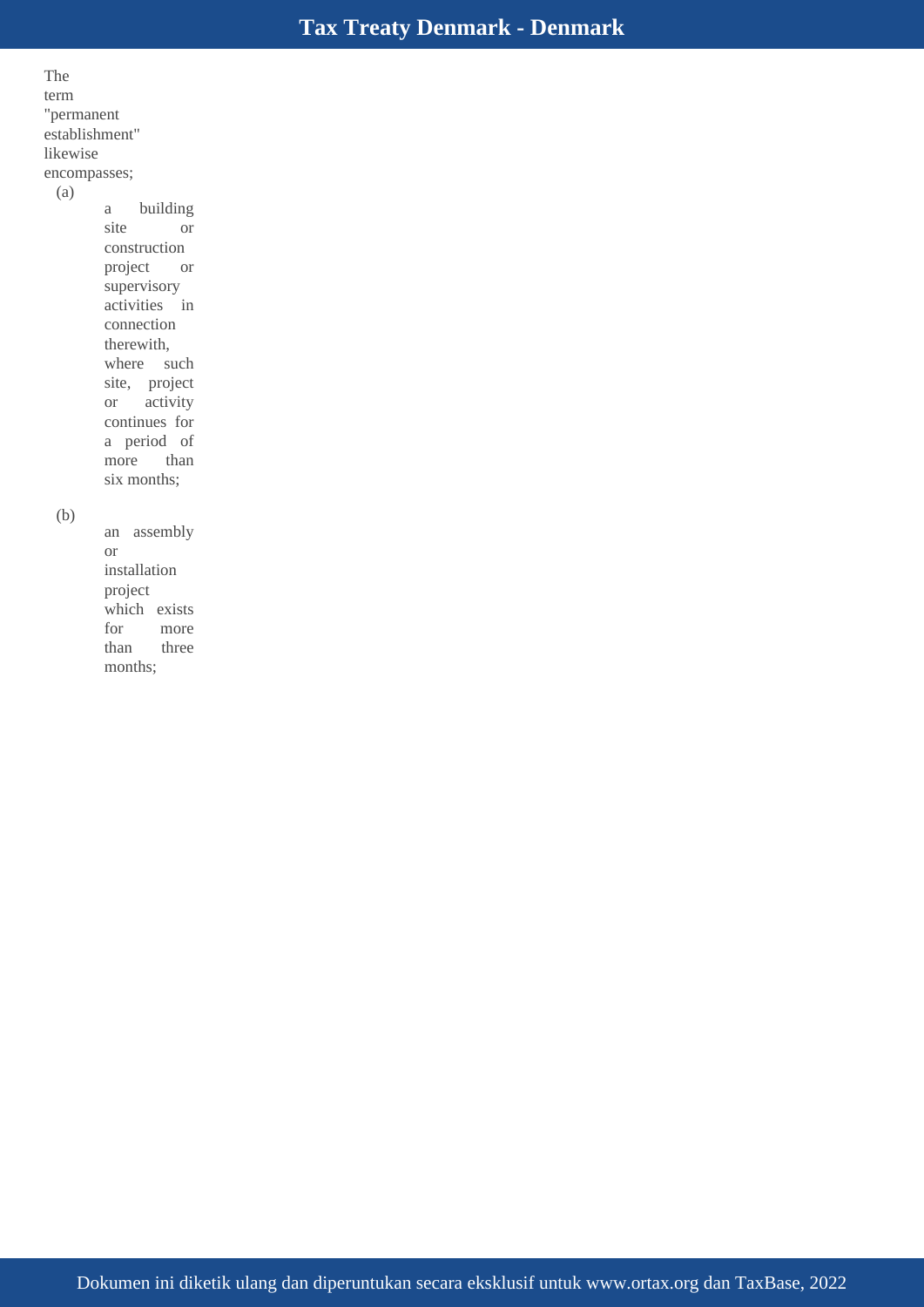# **Tax Treaty Denmark - Denmark**

The term "permanent establishment" likewise encompasses; (a) a building site or construction project or supervisory activities in connection therewith, where such site, project or activity continues for a period of more than

(b)

an assembly or installation project which exists for more than three months;

six months;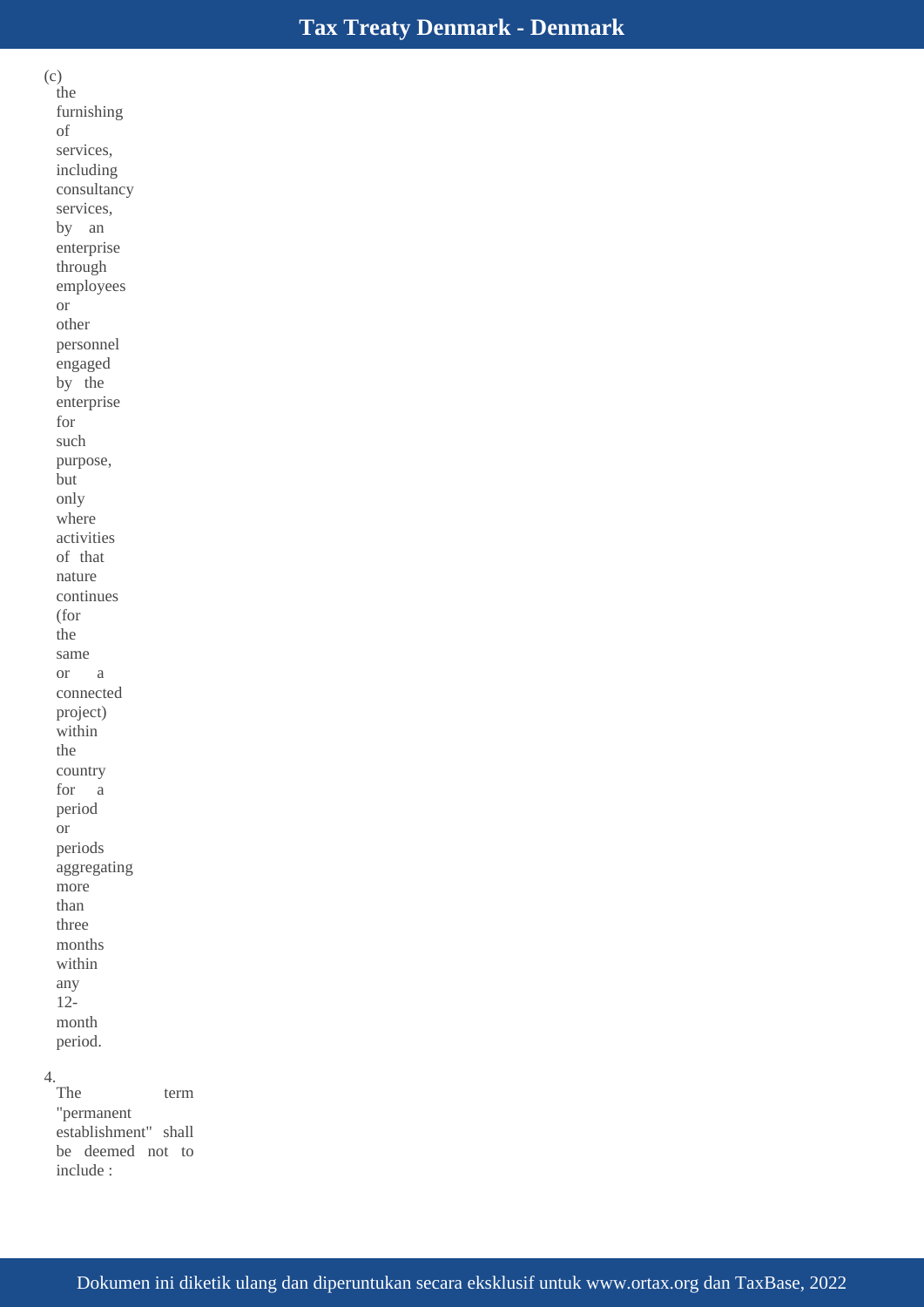(c) the furnishing of services, including consultancy services, by an enterprise through employees or other personnel engaged by the enterprise for such purpose, but only where activities of that nature continues (for the same or a connected project) within the country for a period or periods aggregating more than three months within any 12 month period.

4. term "permanent establishment" shall be deemed not to include :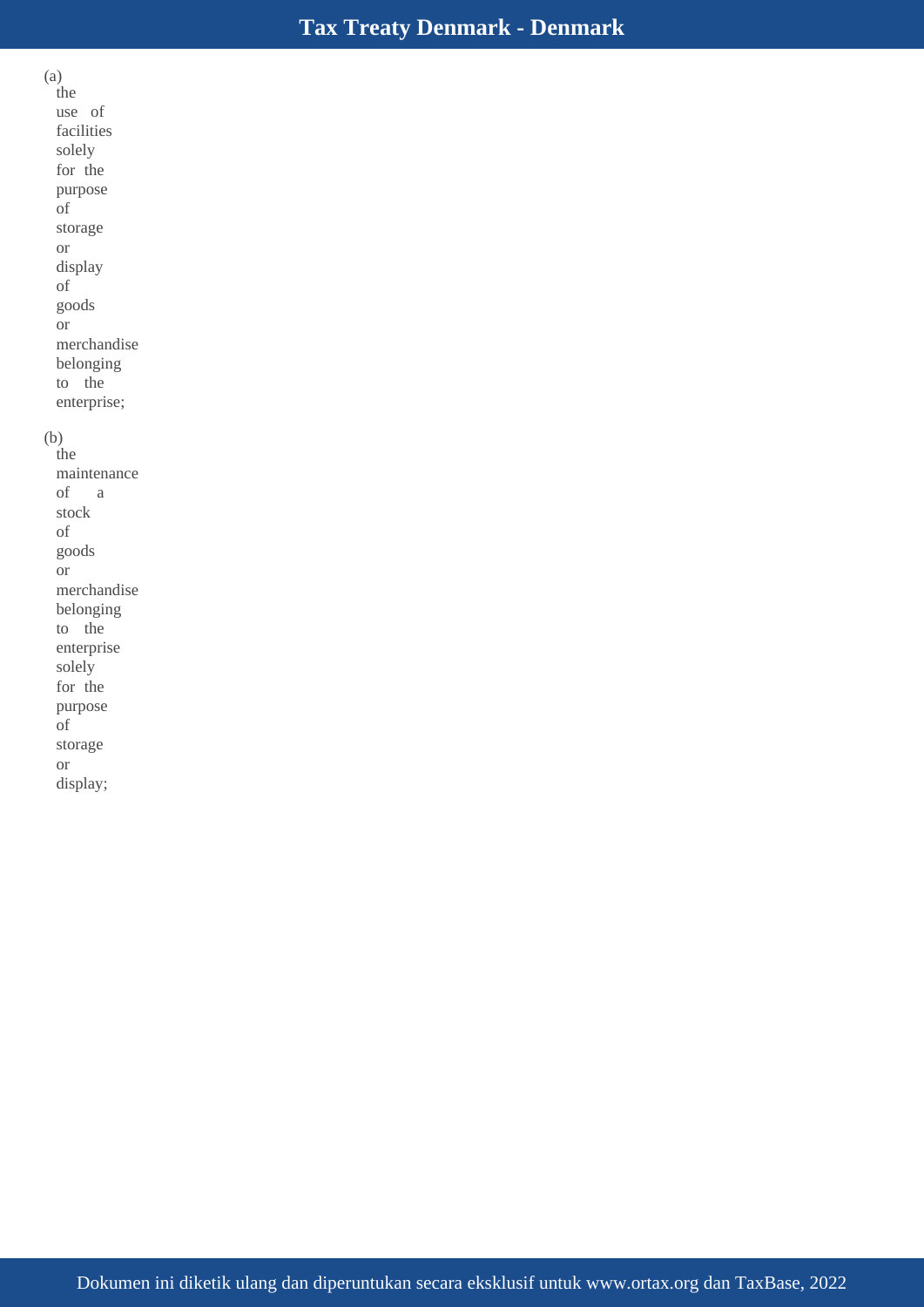(a) the use of facilities solely for the purpose of storage or display of goods or merchandise belonging to the enterprise;

# (b)

the maintenance of a stock of goods or merchandise belonging to the enterprise solely for the purpose of storage or display;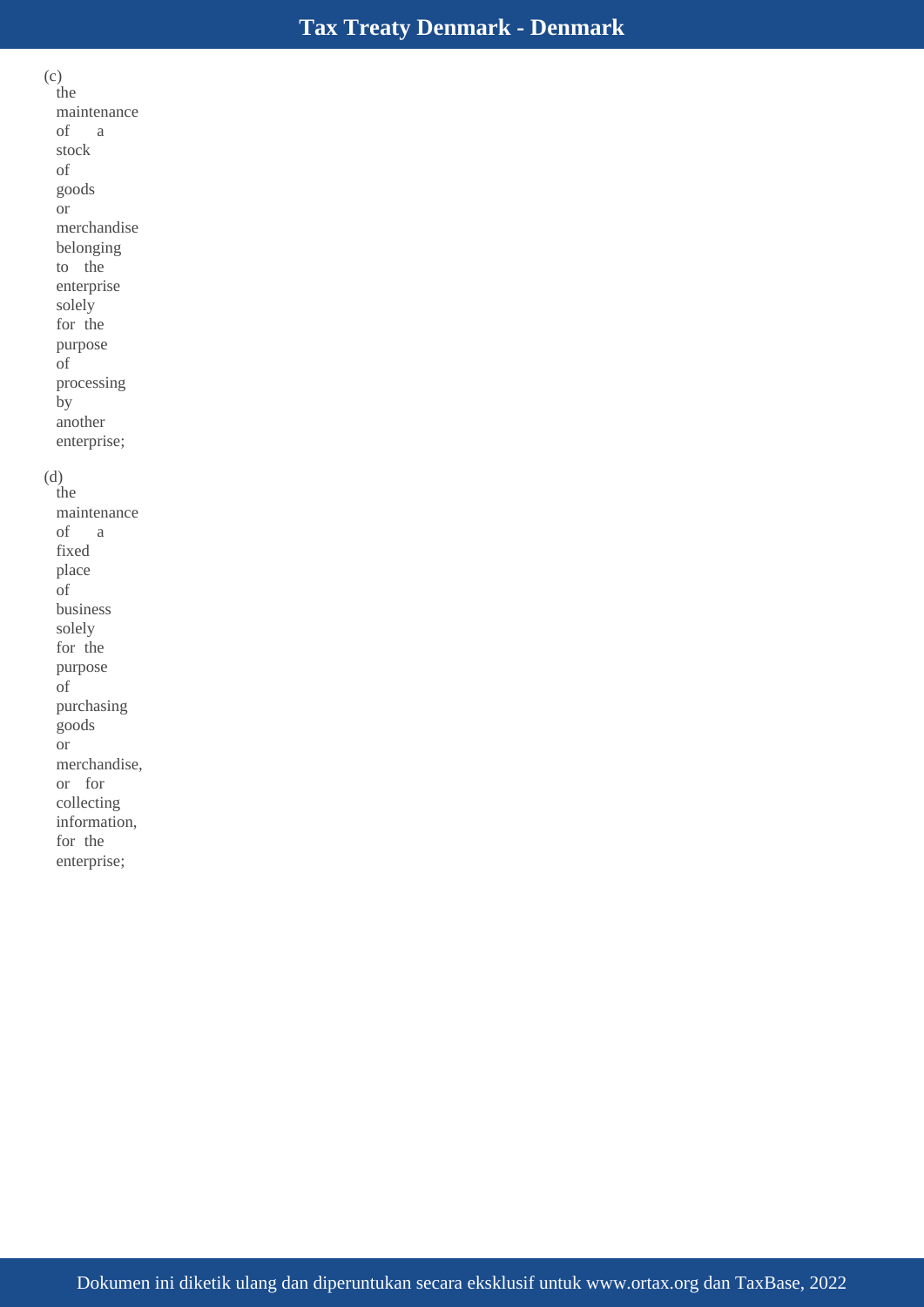(c) the maintenance of a stock of goods or merchandise belonging to the enterprise solely for the purpose of processing by another enterprise;

# (d)

the maintenance of a fixed place of business solely for the purpose of purchasing goods or merchandise, or for collecting information, for the enterprise;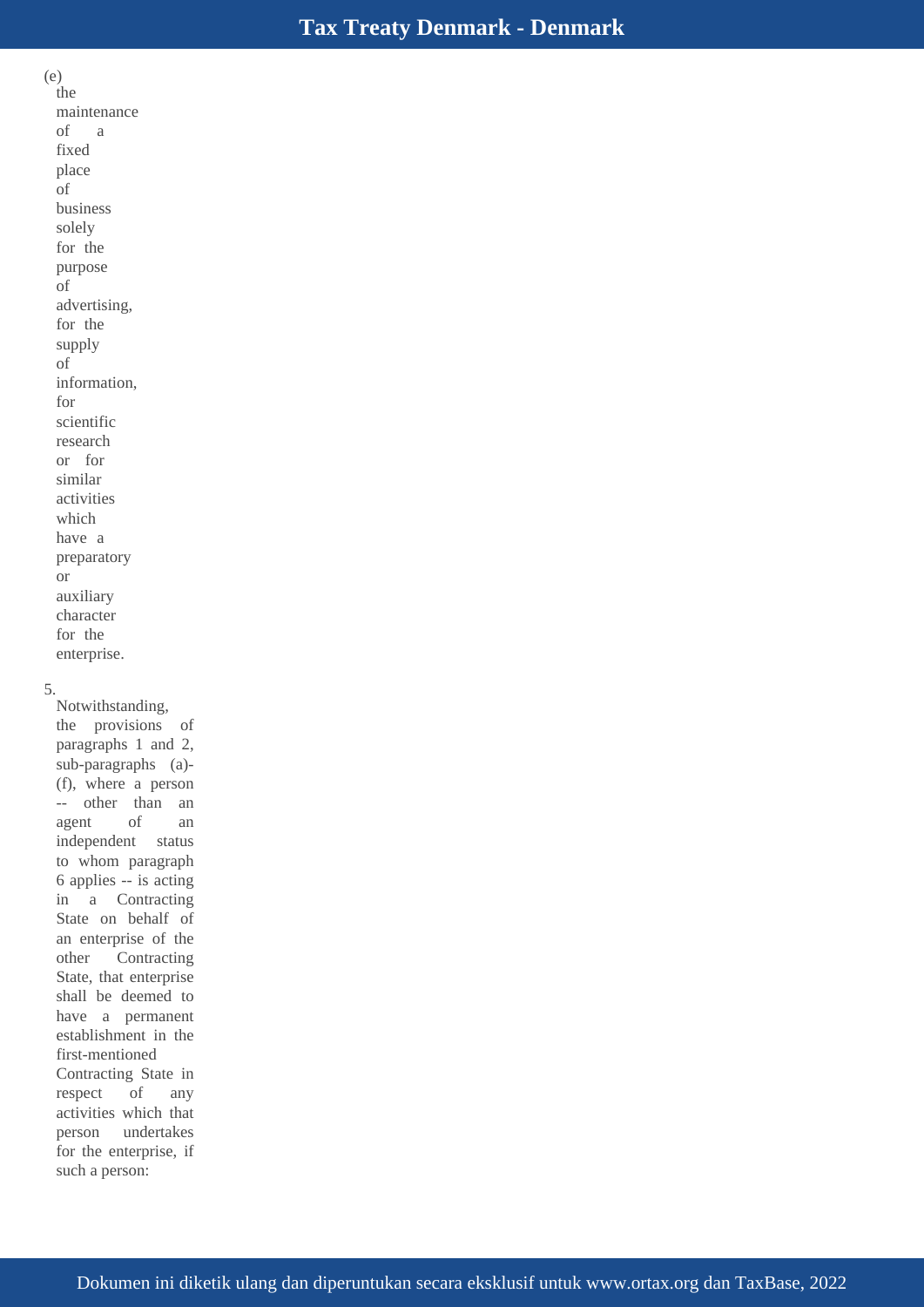the maintenance of a fixed place of business solely for the purpose of advertising, for the supply of information, for scientific research or for similar activities which have a preparatory or auxiliary character for the enterprise.

(e)

# 5.

Notwithstanding, the provisions of paragraphs 1 and 2, sub-paragraphs (a)- (f), where a person -- other than an agent of an independent status to whom paragraph 6 applies -- is acting in a Contracting State on behalf of an enterprise of the other Contracting State, that enterprise shall be deemed to have a permanent establishment in the first-mentioned Contracting State in respect of any activities which that person undertakes for the enterprise, if such a person: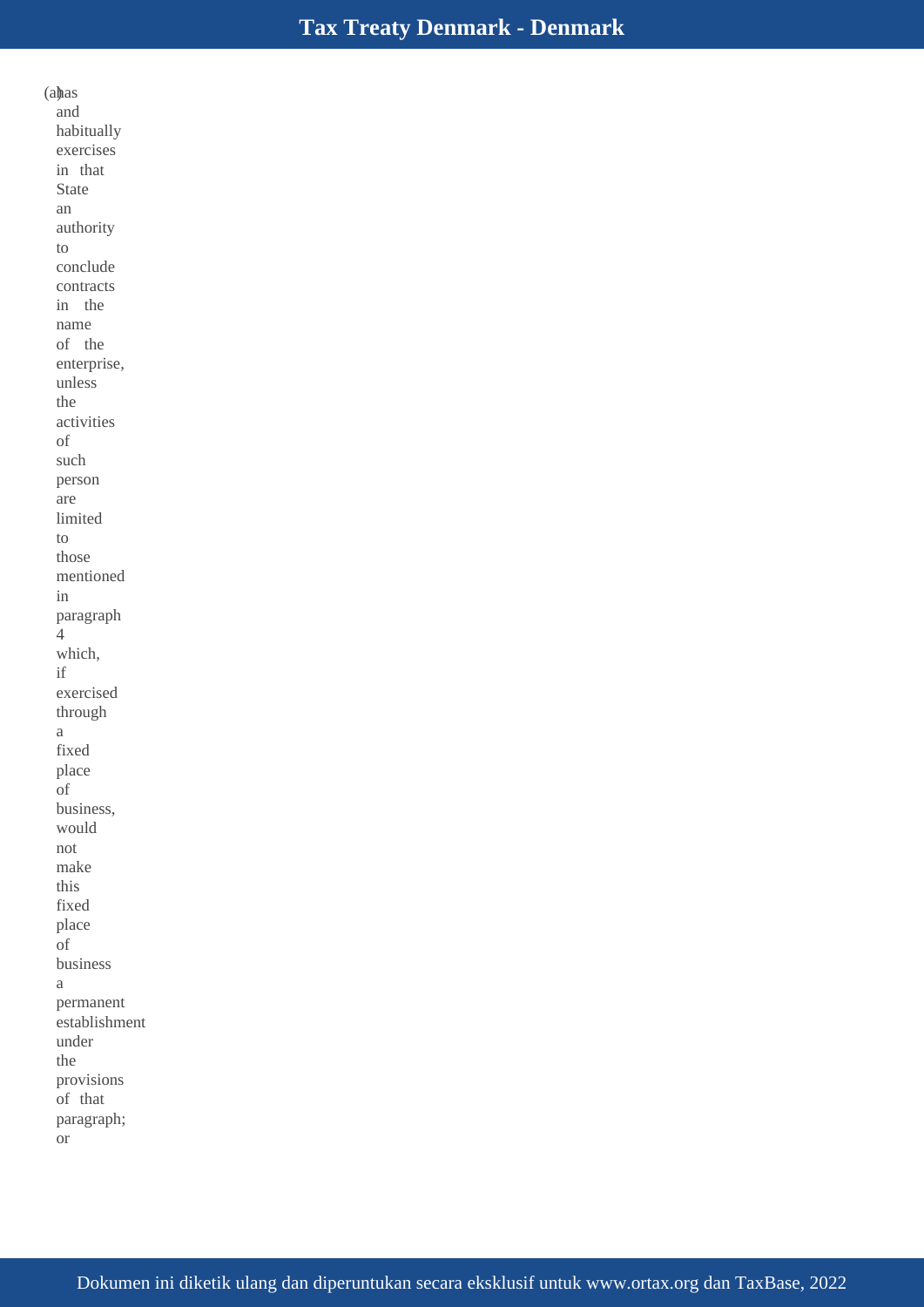(a)has and habitually exercises in that State an authority to conclude contracts in the name of the enterprise, unless the activities of such person are limited to those mentioned in paragraph 4 which, if exercised through a fixed place of business, would not make this fixed place of business a permanent establishment under the provisions of that paragraph; or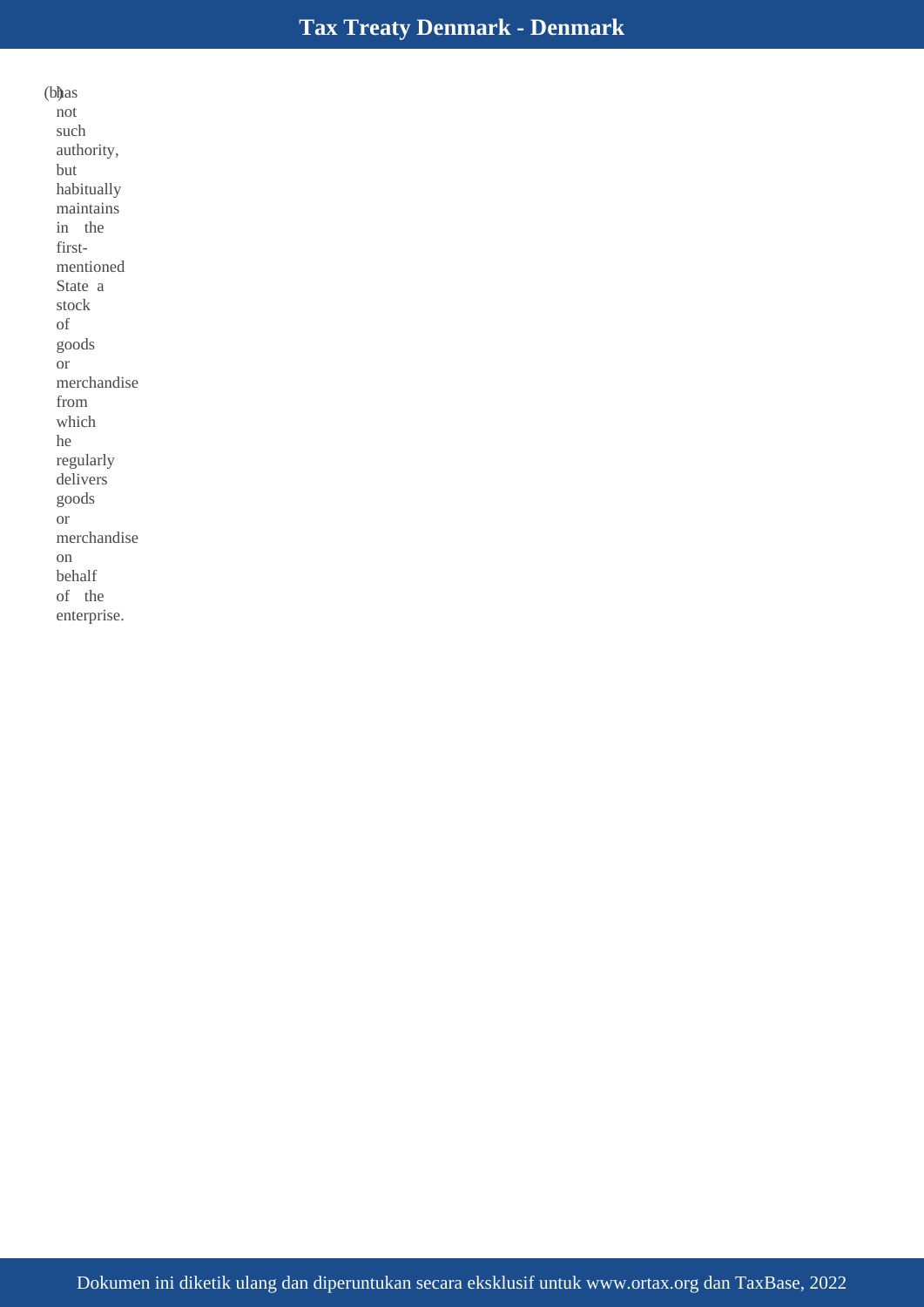(bhas not such authority, but habitually maintains in the firstmentioned State a stock of goods or merchandise from which he regularly delivers goods or merchandise on behalf of the enterprise.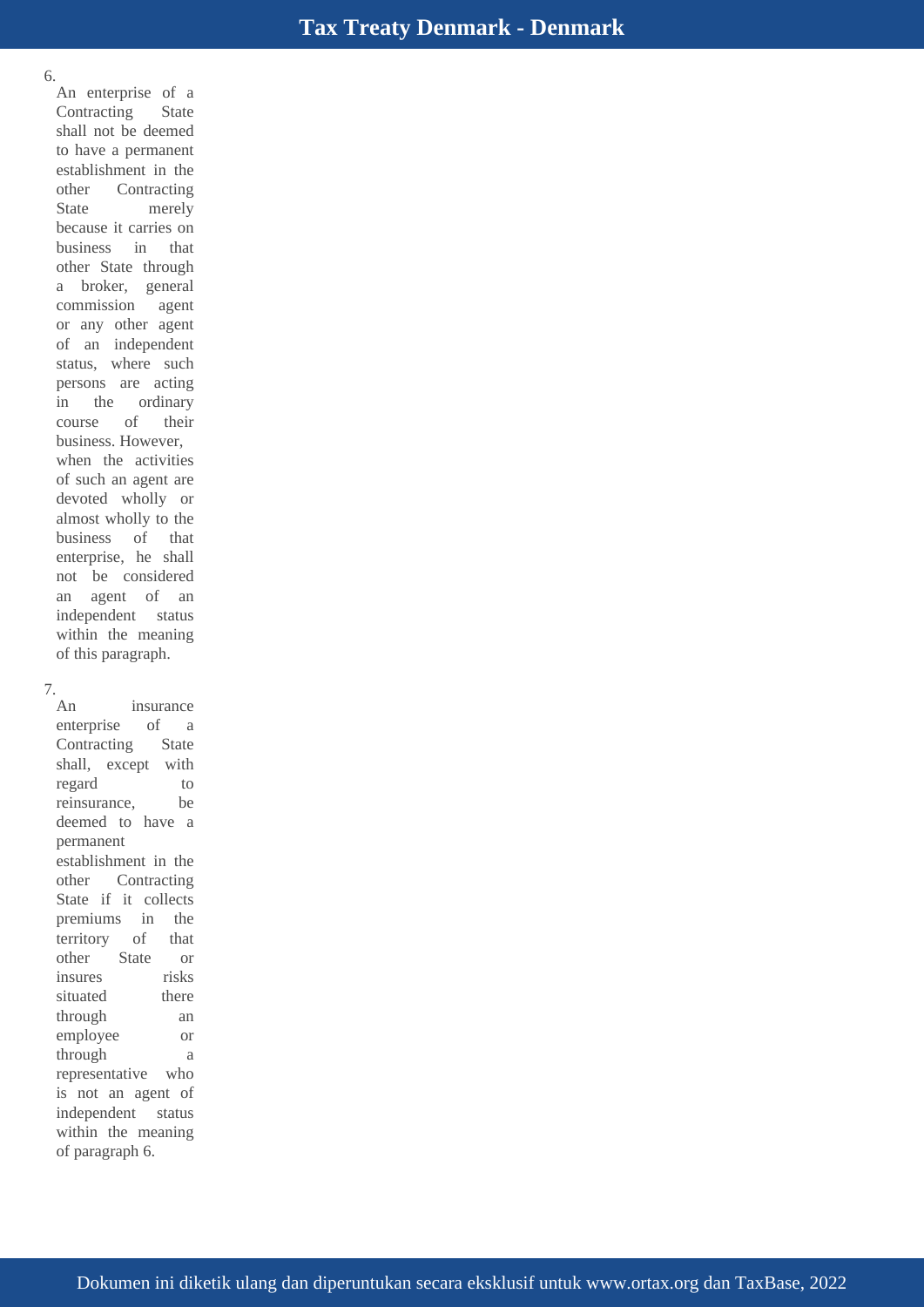An enterprise of a Contracting State shall not be deemed to have a permanent establishment in the other Contracting State merely because it carries on business in that other State through a broker, general commission agent or any other agent of an independent status, where such persons are acting in the ordinary course of their business. However, when the activities of such an agent are devoted wholly or almost wholly to the business of that enterprise, he shall not be considered an agent of an independent status within the meaning of this paragraph.

7. insurance enterprise of a Contracting State shall, except with regard to reinsurance, be deemed to have a permanent establishment in the other Contracting State if it collects premiums in the territory of that other State or insures risks situated there through an employee or through a representative who is not an agent of independent status within the meaning of paragraph 6.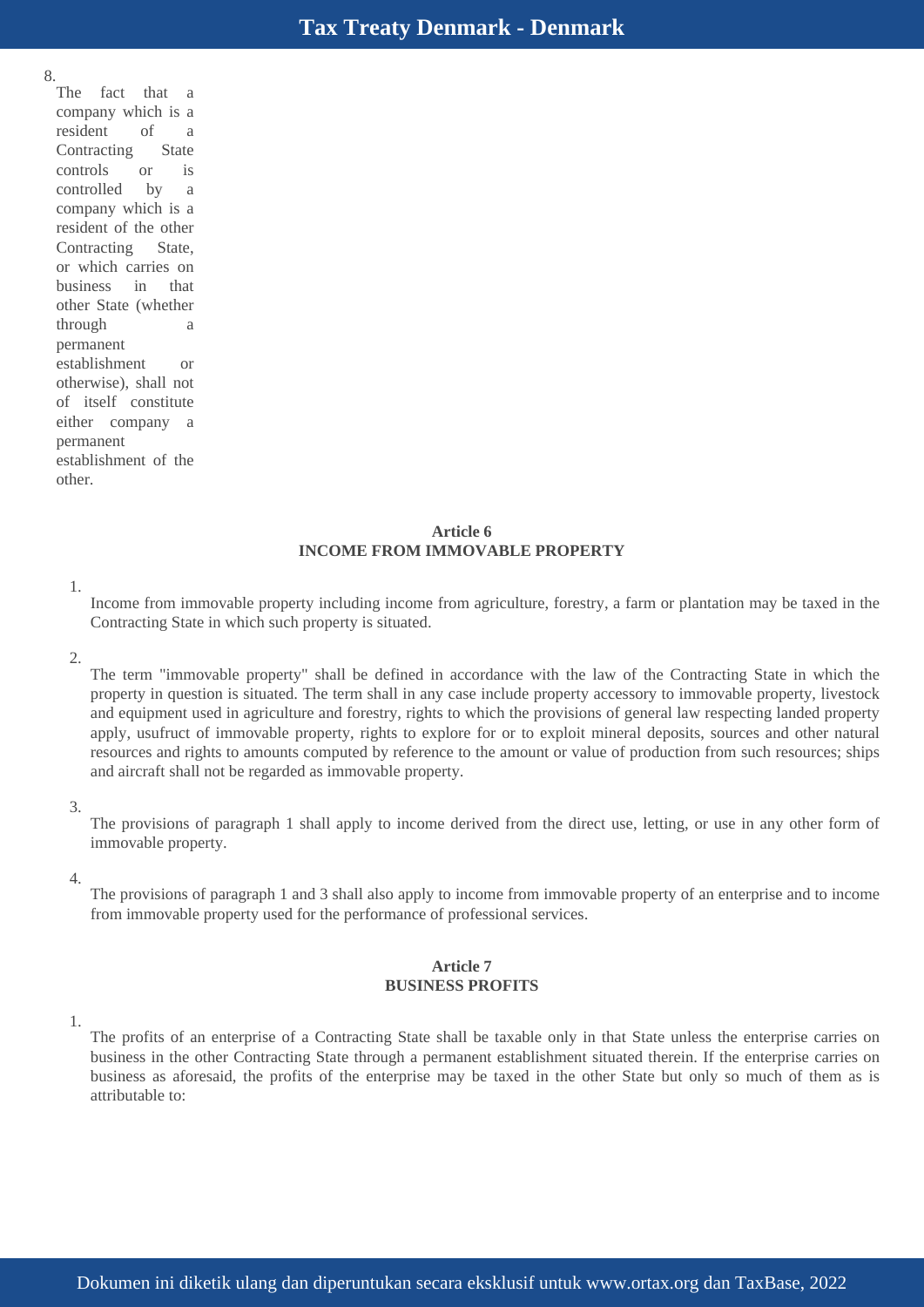8. fact that a company which is a resident of a Contracting State controls or is controlled by a company which is a resident of the other Contracting State, or which carries on business in that other State (whether through a permanent establishment or otherwise), shall not of itself constitute either company a permanent establishment of the other.

# **Article 6 INCOME FROM IMMOVABLE PROPERTY**

1.

Income from immovable property including income from agriculture, forestry, a farm or plantation may be taxed in the Contracting State in which such property is situated.

2.

The term "immovable property" shall be defined in accordance with the law of the Contracting State in which the property in question is situated. The term shall in any case include property accessory to immovable property, livestock and equipment used in agriculture and forestry, rights to which the provisions of general law respecting landed property apply, usufruct of immovable property, rights to explore for or to exploit mineral deposits, sources and other natural resources and rights to amounts computed by reference to the amount or value of production from such resources; ships and aircraft shall not be regarded as immovable property.

3.

The provisions of paragraph 1 shall apply to income derived from the direct use, letting, or use in any other form of immovable property.

4.

The provisions of paragraph 1 and 3 shall also apply to income from immovable property of an enterprise and to income from immovable property used for the performance of professional services.

# **Article 7 BUSINESS PROFITS**

1.

The profits of an enterprise of a Contracting State shall be taxable only in that State unless the enterprise carries on business in the other Contracting State through a permanent establishment situated therein. If the enterprise carries on business as aforesaid, the profits of the enterprise may be taxed in the other State but only so much of them as is attributable to: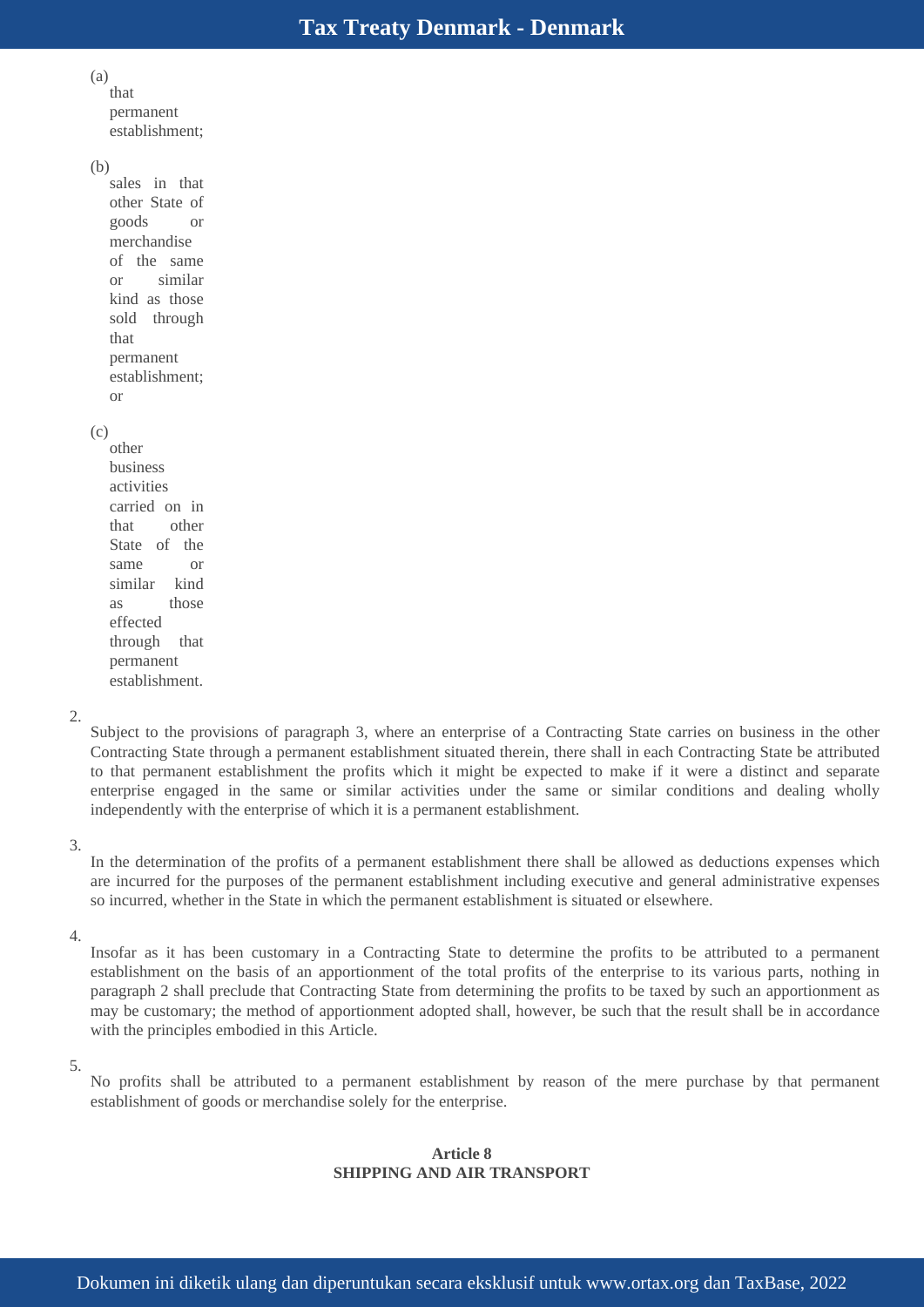(a)

that permanent establishment;

 $(h)$ 

sales in that other State of goods or merchandise of the same or similar kind as those sold through that permanent establishment; or

 $(c)$ 

other business activities carried on in that other State of the same or similar kind as those effected through that permanent establishment.

2.

Subject to the provisions of paragraph 3, where an enterprise of a Contracting State carries on business in the other Contracting State through a permanent establishment situated therein, there shall in each Contracting State be attributed to that permanent establishment the profits which it might be expected to make if it were a distinct and separate enterprise engaged in the same or similar activities under the same or similar conditions and dealing wholly independently with the enterprise of which it is a permanent establishment.

3.

In the determination of the profits of a permanent establishment there shall be allowed as deductions expenses which are incurred for the purposes of the permanent establishment including executive and general administrative expenses so incurred, whether in the State in which the permanent establishment is situated or elsewhere.

4.

Insofar as it has been customary in a Contracting State to determine the profits to be attributed to a permanent establishment on the basis of an apportionment of the total profits of the enterprise to its various parts, nothing in paragraph 2 shall preclude that Contracting State from determining the profits to be taxed by such an apportionment as may be customary; the method of apportionment adopted shall, however, be such that the result shall be in accordance with the principles embodied in this Article.

5.

No profits shall be attributed to a permanent establishment by reason of the mere purchase by that permanent establishment of goods or merchandise solely for the enterprise.

# **Article 8 SHIPPING AND AIR TRANSPORT**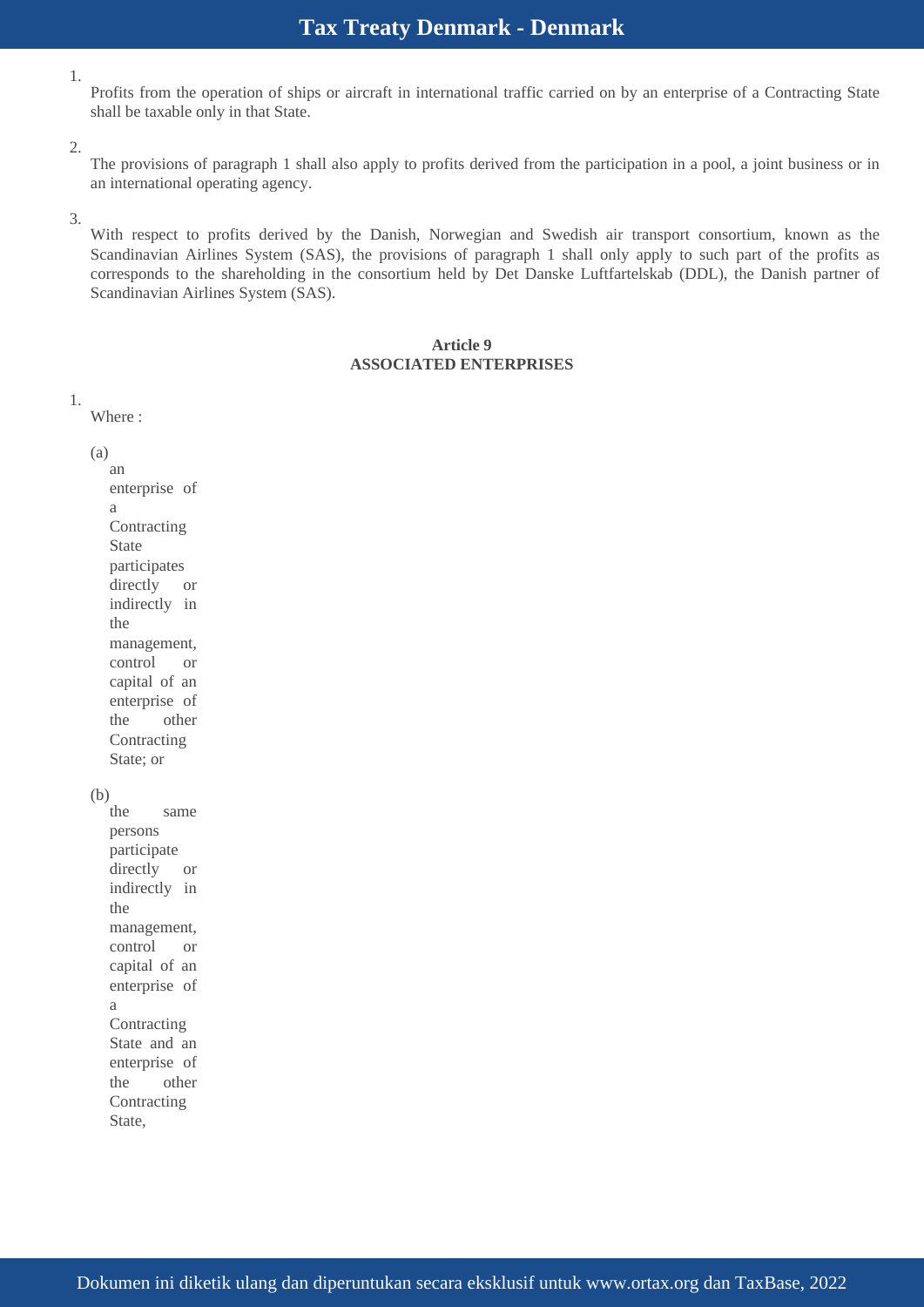1.

Profits from the operation of ships or aircraft in international traffic carried on by an enterprise of a Contracting State shall be taxable only in that State.

#### 2.

The provisions of paragraph 1 shall also apply to profits derived from the participation in a pool, a joint business or in an international operating agency.

3.

With respect to profits derived by the Danish, Norwegian and Swedish air transport consortium, known as the Scandinavian Airlines System (SAS), the provisions of paragraph 1 shall only apply to such part of the profits as corresponds to the shareholding in the consortium held by Det Danske Luftfartelskab (DDL), the Danish partner of Scandinavian Airlines System (SAS).

# **Article 9 ASSOCIATED ENTERPRISES**

1.

Where :

(a) an enterprise of a Contracting State participates directly or indirectly in the management, control or capital of an enterprise of the other Contracting State; or

(b) the same persons participate directly or indirectly in the management, control or capital of an enterprise of a Contracting State and an enterprise of the other Contracting State,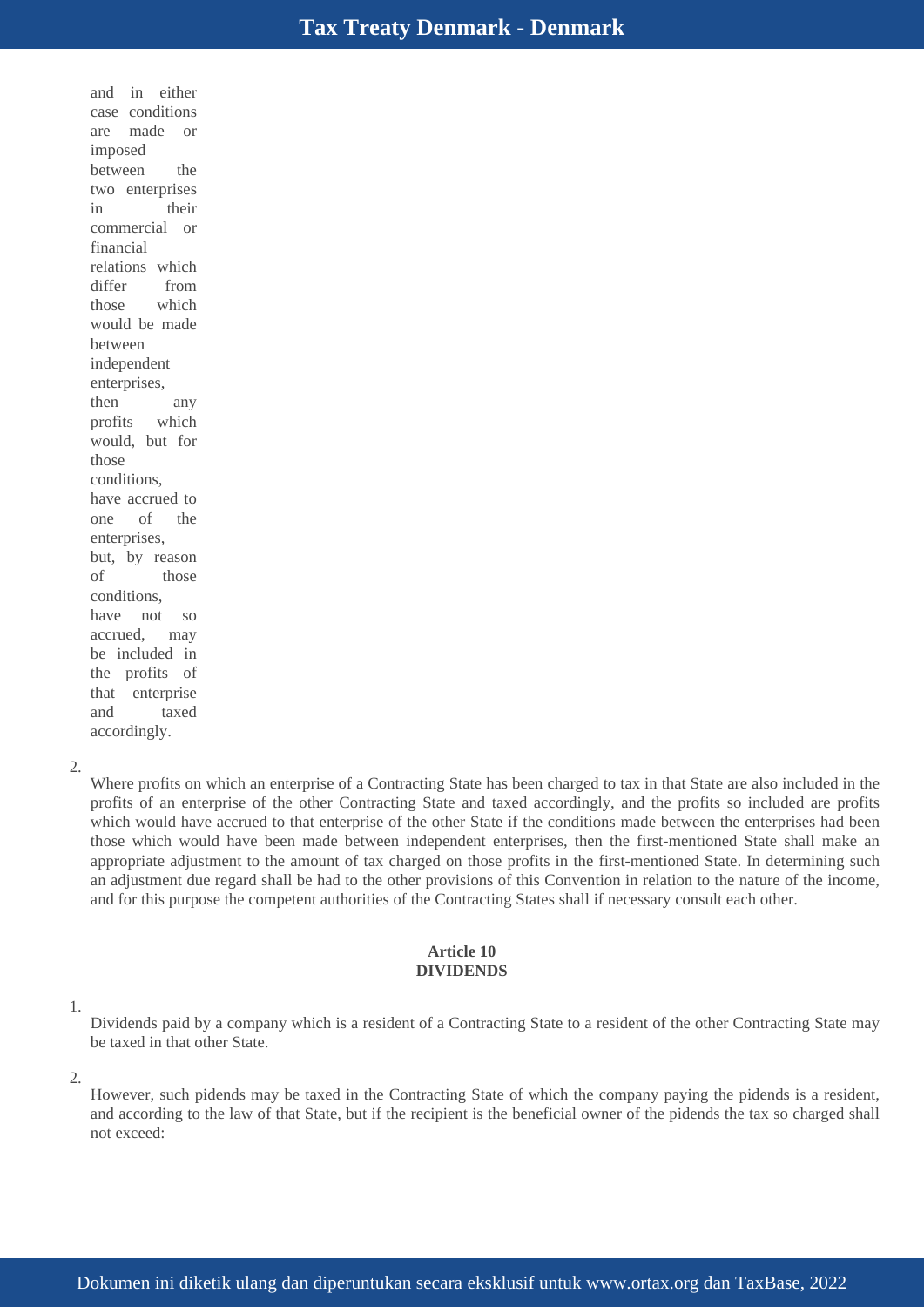and in either case conditions are made or imposed between the two enterprises in their commercial or financial relations which differ from those which would be made between independent enterprises, then any profits which would, but for those conditions, have accrued to one of the enterprises, but, by reason of those conditions, have not so accrued, may be included in the profits of that enterprise and taxed accordingly.

2.

Where profits on which an enterprise of a Contracting State has been charged to tax in that State are also included in the profits of an enterprise of the other Contracting State and taxed accordingly, and the profits so included are profits which would have accrued to that enterprise of the other State if the conditions made between the enterprises had been those which would have been made between independent enterprises, then the first-mentioned State shall make an appropriate adjustment to the amount of tax charged on those profits in the first-mentioned State. In determining such an adjustment due regard shall be had to the other provisions of this Convention in relation to the nature of the income, and for this purpose the competent authorities of the Contracting States shall if necessary consult each other.

# **Article 10 DIVIDENDS**

1.

Dividends paid by a company which is a resident of a Contracting State to a resident of the other Contracting State may be taxed in that other State.

2.

However, such pidends may be taxed in the Contracting State of which the company paying the pidends is a resident, and according to the law of that State, but if the recipient is the beneficial owner of the pidends the tax so charged shall not exceed: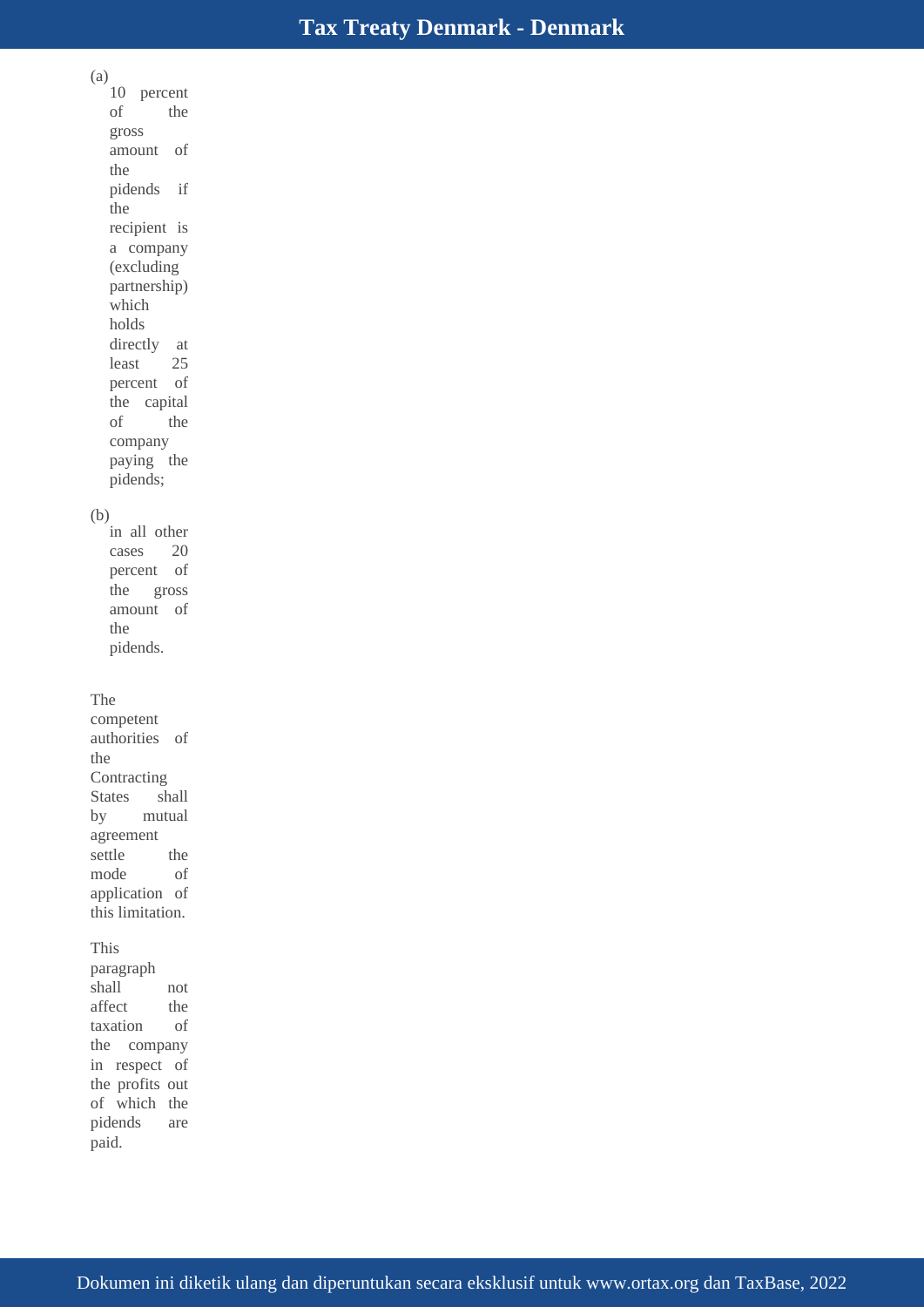10 percent of the gross amount of the pidends if the recipient is a company (excluding partnership) which holds directly at least 25 percent of the capital of the company paying the pidends; (b) in all other cases 20 percent of the gross

(a)

The

competent authorities of the Contracting States shall by mutual agreement settle the mode of application of this limitation.

amount of

the pidends.

This

paragraph shall not affect the taxation of the company in respect of the profits out of which the pidends are paid.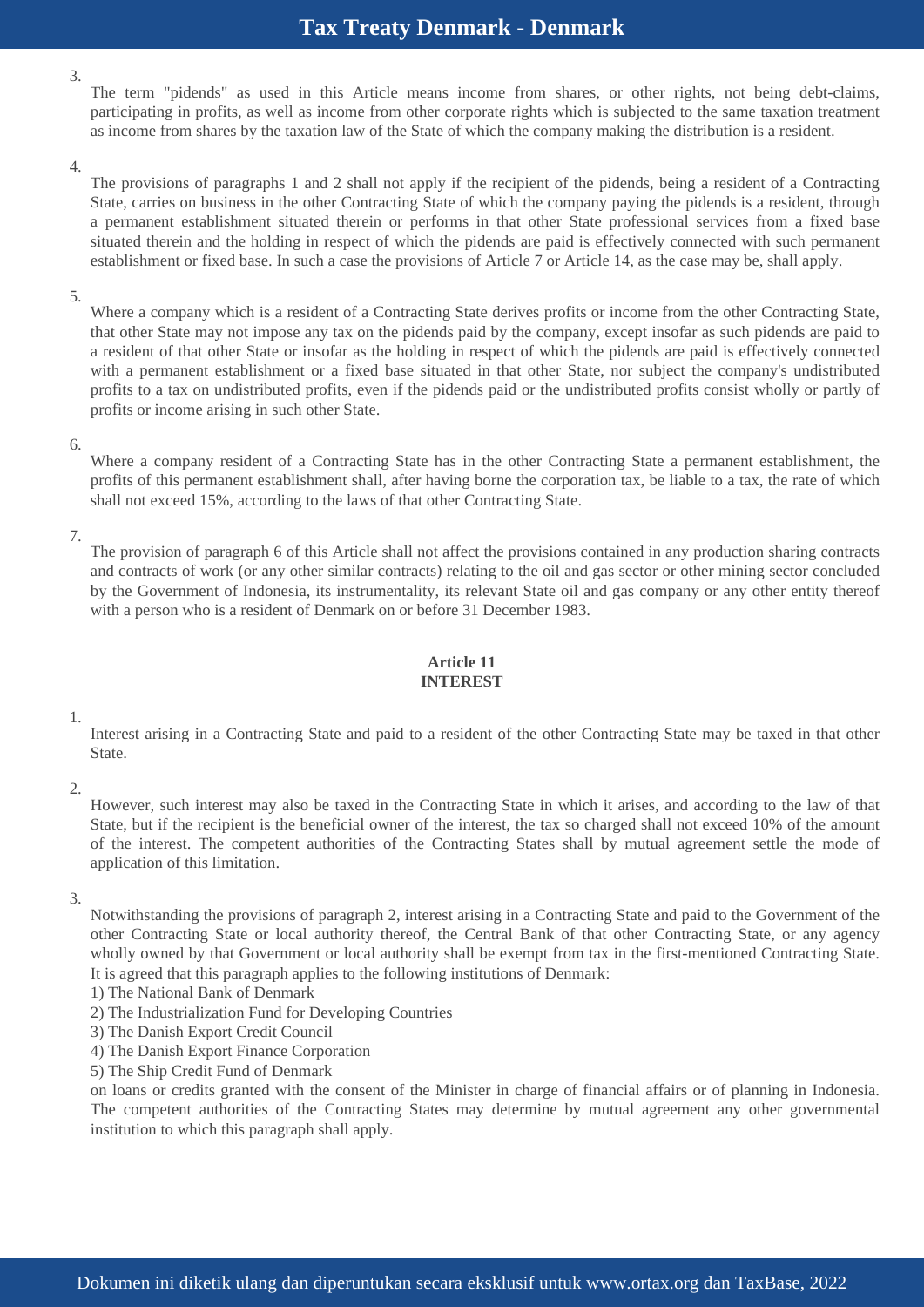# **Tax Treaty Denmark - Denmark**

The term "pidends" as used in this Article means income from shares, or other rights, not being debt-claims, participating in profits, as well as income from other corporate rights which is subjected to the same taxation treatment as income from shares by the taxation law of the State of which the company making the distribution is a resident.

#### 4.

3.

The provisions of paragraphs 1 and 2 shall not apply if the recipient of the pidends, being a resident of a Contracting State, carries on business in the other Contracting State of which the company paying the pidends is a resident, through a permanent establishment situated therein or performs in that other State professional services from a fixed base situated therein and the holding in respect of which the pidends are paid is effectively connected with such permanent establishment or fixed base. In such a case the provisions of Article 7 or Article 14, as the case may be, shall apply.

#### 5.

Where a company which is a resident of a Contracting State derives profits or income from the other Contracting State, that other State may not impose any tax on the pidends paid by the company, except insofar as such pidends are paid to a resident of that other State or insofar as the holding in respect of which the pidends are paid is effectively connected with a permanent establishment or a fixed base situated in that other State, nor subject the company's undistributed profits to a tax on undistributed profits, even if the pidends paid or the undistributed profits consist wholly or partly of profits or income arising in such other State.

#### 6.

Where a company resident of a Contracting State has in the other Contracting State a permanent establishment, the profits of this permanent establishment shall, after having borne the corporation tax, be liable to a tax, the rate of which shall not exceed 15%, according to the laws of that other Contracting State.

7.

The provision of paragraph 6 of this Article shall not affect the provisions contained in any production sharing contracts and contracts of work (or any other similar contracts) relating to the oil and gas sector or other mining sector concluded by the Government of Indonesia, its instrumentality, its relevant State oil and gas company or any other entity thereof with a person who is a resident of Denmark on or before 31 December 1983.

# **Article 11**

# **INTEREST**

1.

Interest arising in a Contracting State and paid to a resident of the other Contracting State may be taxed in that other State.

2.

However, such interest may also be taxed in the Contracting State in which it arises, and according to the law of that State, but if the recipient is the beneficial owner of the interest, the tax so charged shall not exceed 10% of the amount of the interest. The competent authorities of the Contracting States shall by mutual agreement settle the mode of application of this limitation.

### 3.

Notwithstanding the provisions of paragraph 2, interest arising in a Contracting State and paid to the Government of the other Contracting State or local authority thereof, the Central Bank of that other Contracting State, or any agency wholly owned by that Government or local authority shall be exempt from tax in the first-mentioned Contracting State. It is agreed that this paragraph applies to the following institutions of Denmark:

- 1) The National Bank of Denmark
- 2) The Industrialization Fund for Developing Countries
- 3) The Danish Export Credit Council
- 4) The Danish Export Finance Corporation
- 5) The Ship Credit Fund of Denmark

on loans or credits granted with the consent of the Minister in charge of financial affairs or of planning in Indonesia. The competent authorities of the Contracting States may determine by mutual agreement any other governmental institution to which this paragraph shall apply.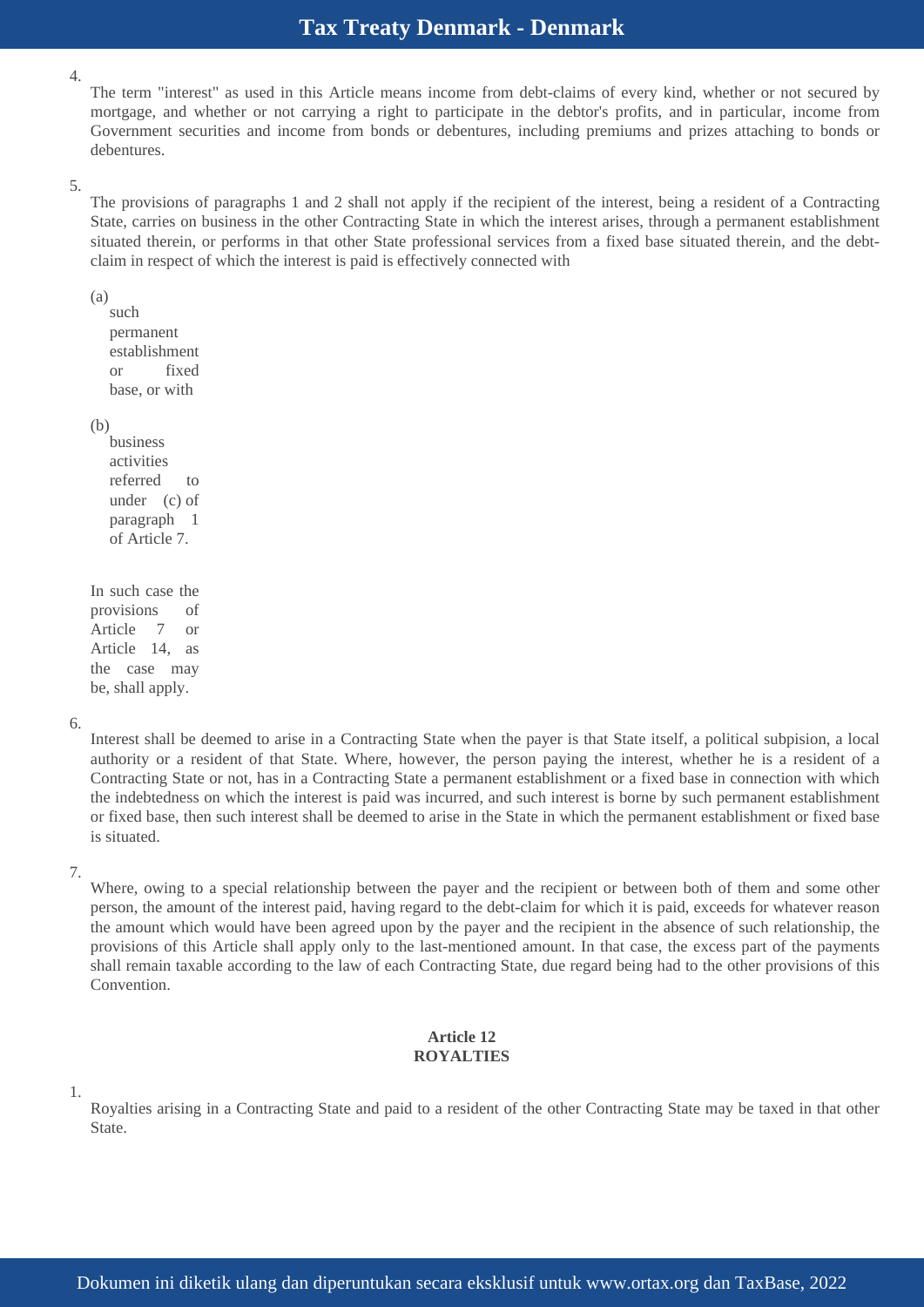# **Tax Treaty Denmark - Denmark**

The term "interest" as used in this Article means income from debt-claims of every kind, whether or not secured by mortgage, and whether or not carrying a right to participate in the debtor's profits, and in particular, income from Government securities and income from bonds or debentures, including premiums and prizes attaching to bonds or debentures.

5.

4.

The provisions of paragraphs 1 and 2 shall not apply if the recipient of the interest, being a resident of a Contracting State, carries on business in the other Contracting State in which the interest arises, through a permanent establishment situated therein, or performs in that other State professional services from a fixed base situated therein, and the debtclaim in respect of which the interest is paid is effectively connected with

(a)

such permanent establishment or fixed base, or with

(b)

business activities referred to under (c) of paragraph 1 of Article 7.

In such case the provisions of Article 7 or Article 14, as the case may be, shall apply.

6.

Interest shall be deemed to arise in a Contracting State when the payer is that State itself, a political subpision, a local authority or a resident of that State. Where, however, the person paying the interest, whether he is a resident of a Contracting State or not, has in a Contracting State a permanent establishment or a fixed base in connection with which the indebtedness on which the interest is paid was incurred, and such interest is borne by such permanent establishment or fixed base, then such interest shall be deemed to arise in the State in which the permanent establishment or fixed base is situated.

7.

Where, owing to a special relationship between the payer and the recipient or between both of them and some other person, the amount of the interest paid, having regard to the debt-claim for which it is paid, exceeds for whatever reason the amount which would have been agreed upon by the payer and the recipient in the absence of such relationship, the provisions of this Article shall apply only to the last-mentioned amount. In that case, the excess part of the payments shall remain taxable according to the law of each Contracting State, due regard being had to the other provisions of this Convention.

# **Article 12 ROYALTIES**

1.

Royalties arising in a Contracting State and paid to a resident of the other Contracting State may be taxed in that other State.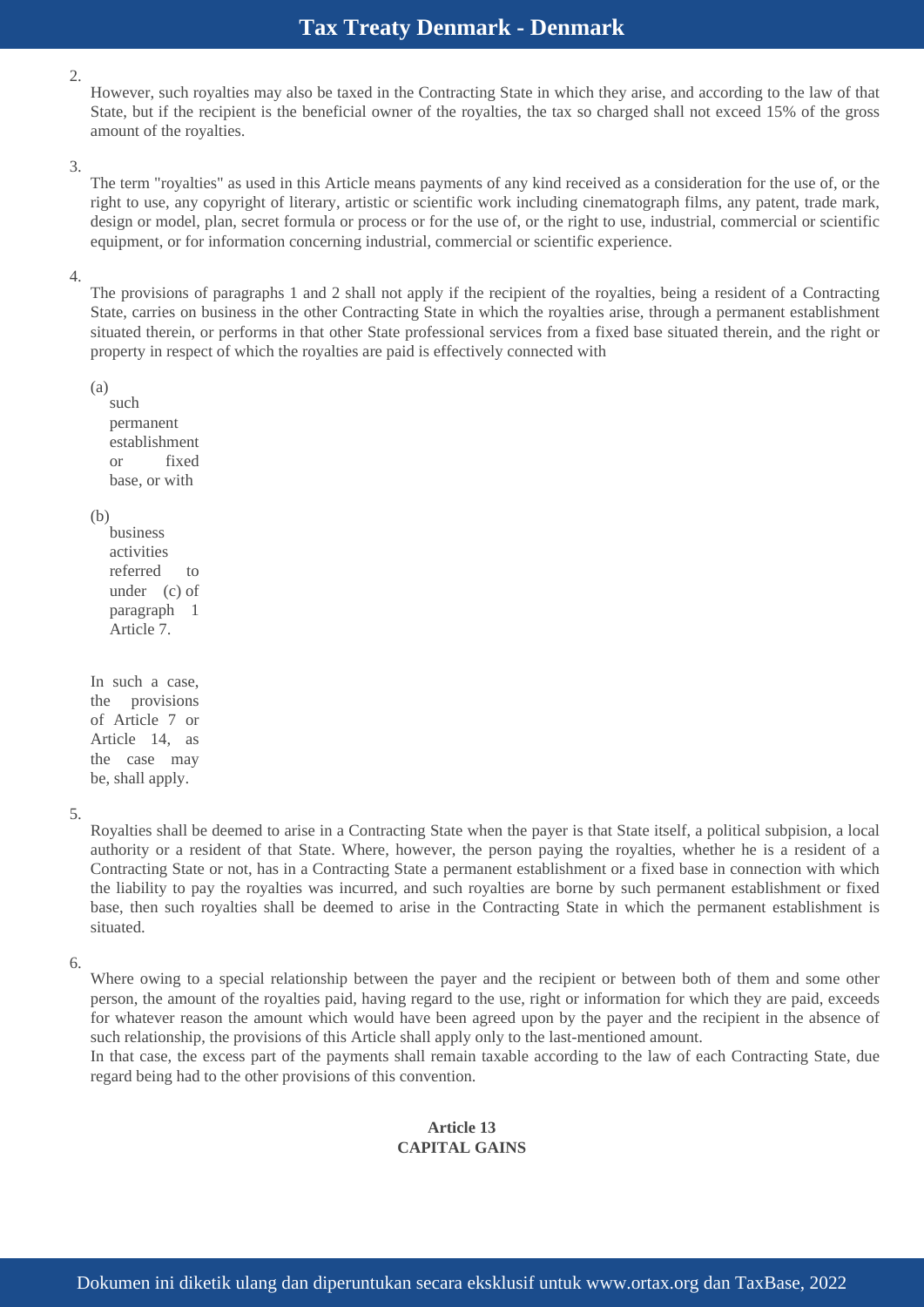However, such royalties may also be taxed in the Contracting State in which they arise, and according to the law of that State, but if the recipient is the beneficial owner of the royalties, the tax so charged shall not exceed 15% of the gross amount of the royalties.

3.

2.

The term "royalties" as used in this Article means payments of any kind received as a consideration for the use of, or the right to use, any copyright of literary, artistic or scientific work including cinematograph films, any patent, trade mark, design or model, plan, secret formula or process or for the use of, or the right to use, industrial, commercial or scientific equipment, or for information concerning industrial, commercial or scientific experience.

### 4.

The provisions of paragraphs 1 and 2 shall not apply if the recipient of the royalties, being a resident of a Contracting State, carries on business in the other Contracting State in which the royalties arise, through a permanent establishment situated therein, or performs in that other State professional services from a fixed base situated therein, and the right or property in respect of which the royalties are paid is effectively connected with

```
(a)
```
such permanent establishment or fixed base, or with

## $(h)$

business activities referred to under (c) of paragraph 1 Article 7.

In such a case, the provisions of Article 7 or Article 14, as the case may be, shall apply.

5.

Royalties shall be deemed to arise in a Contracting State when the payer is that State itself, a political subpision, a local authority or a resident of that State. Where, however, the person paying the royalties, whether he is a resident of a Contracting State or not, has in a Contracting State a permanent establishment or a fixed base in connection with which the liability to pay the royalties was incurred, and such royalties are borne by such permanent establishment or fixed base, then such royalties shall be deemed to arise in the Contracting State in which the permanent establishment is situated.

6.

Where owing to a special relationship between the payer and the recipient or between both of them and some other person, the amount of the royalties paid, having regard to the use, right or information for which they are paid, exceeds for whatever reason the amount which would have been agreed upon by the payer and the recipient in the absence of such relationship, the provisions of this Article shall apply only to the last-mentioned amount.

In that case, the excess part of the payments shall remain taxable according to the law of each Contracting State, due regard being had to the other provisions of this convention.

# **Article 13 CAPITAL GAINS**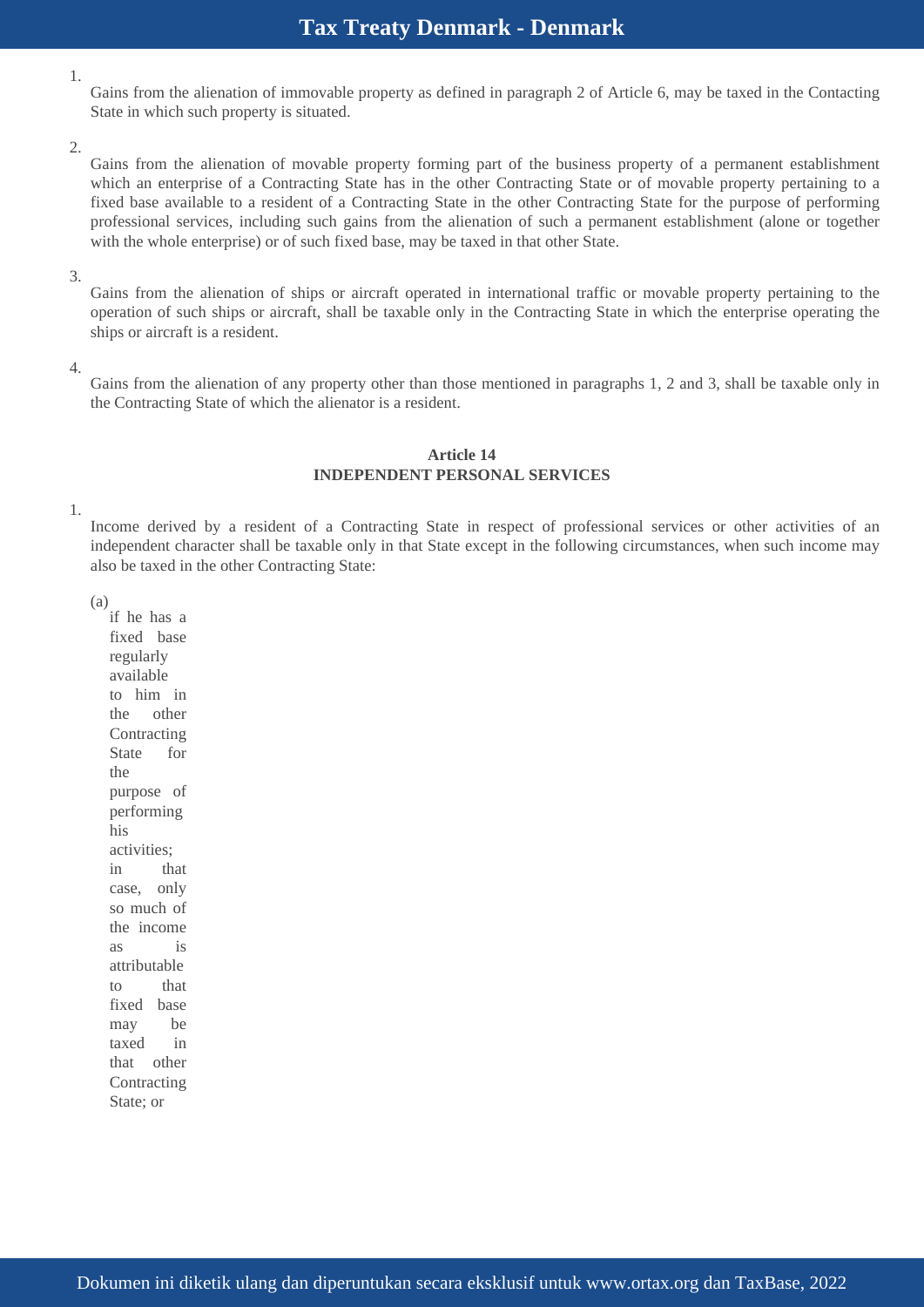1.

Gains from the alienation of immovable property as defined in paragraph 2 of Article 6, may be taxed in the Contacting State in which such property is situated.

#### 2.

Gains from the alienation of movable property forming part of the business property of a permanent establishment which an enterprise of a Contracting State has in the other Contracting State or of movable property pertaining to a fixed base available to a resident of a Contracting State in the other Contracting State for the purpose of performing professional services, including such gains from the alienation of such a permanent establishment (alone or together with the whole enterprise) or of such fixed base, may be taxed in that other State.

### 3.

Gains from the alienation of ships or aircraft operated in international traffic or movable property pertaining to the operation of such ships or aircraft, shall be taxable only in the Contracting State in which the enterprise operating the ships or aircraft is a resident.

#### 4.

Gains from the alienation of any property other than those mentioned in paragraphs 1, 2 and 3, shall be taxable only in the Contracting State of which the alienator is a resident.

# **Article 14 INDEPENDENT PERSONAL SERVICES**

1.

Income derived by a resident of a Contracting State in respect of professional services or other activities of an independent character shall be taxable only in that State except in the following circumstances, when such income may also be taxed in the other Contracting State:

(a)

if he has a fixed base regularly available to him in the other Contracting State for the purpose of performing his activities; in that case, only so much of the income as is attributable to that fixed base may be taxed in that other **Contracting** State; or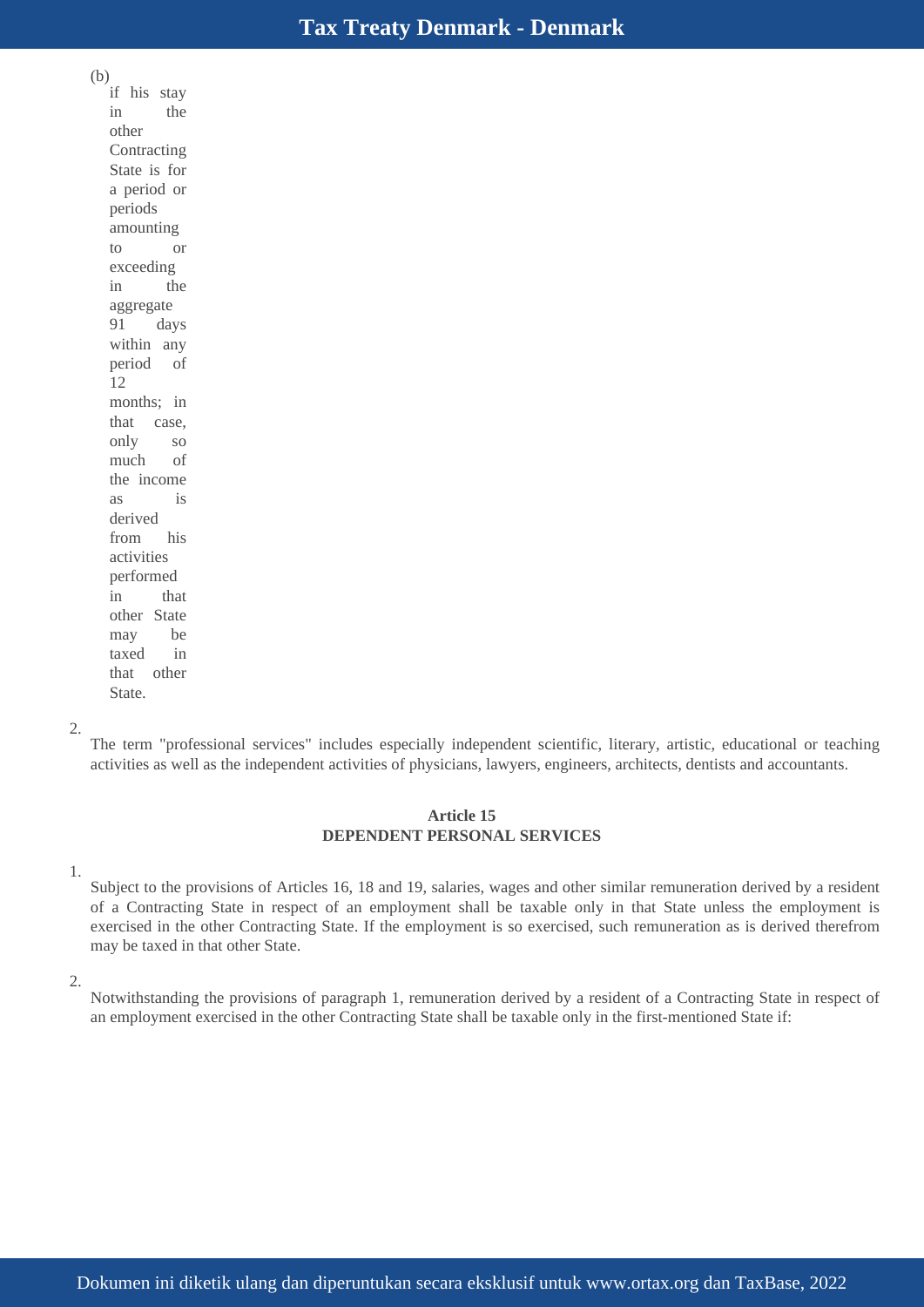(b) if his stay in the other Contracting State is for a period or periods amounting to or exceeding in the aggregate 91 days within any period of 12 months; in that case, only so much of the income as is derived from his activities performed in that other State may be taxed in that other State.

2.

The term "professional services" includes especially independent scientific, literary, artistic, educational or teaching activities as well as the independent activities of physicians, lawyers, engineers, architects, dentists and accountants.

# **Article 15 DEPENDENT PERSONAL SERVICES**

1.

Subject to the provisions of Articles 16, 18 and 19, salaries, wages and other similar remuneration derived by a resident of a Contracting State in respect of an employment shall be taxable only in that State unless the employment is exercised in the other Contracting State. If the employment is so exercised, such remuneration as is derived therefrom may be taxed in that other State.

2.

Notwithstanding the provisions of paragraph 1, remuneration derived by a resident of a Contracting State in respect of an employment exercised in the other Contracting State shall be taxable only in the first-mentioned State if: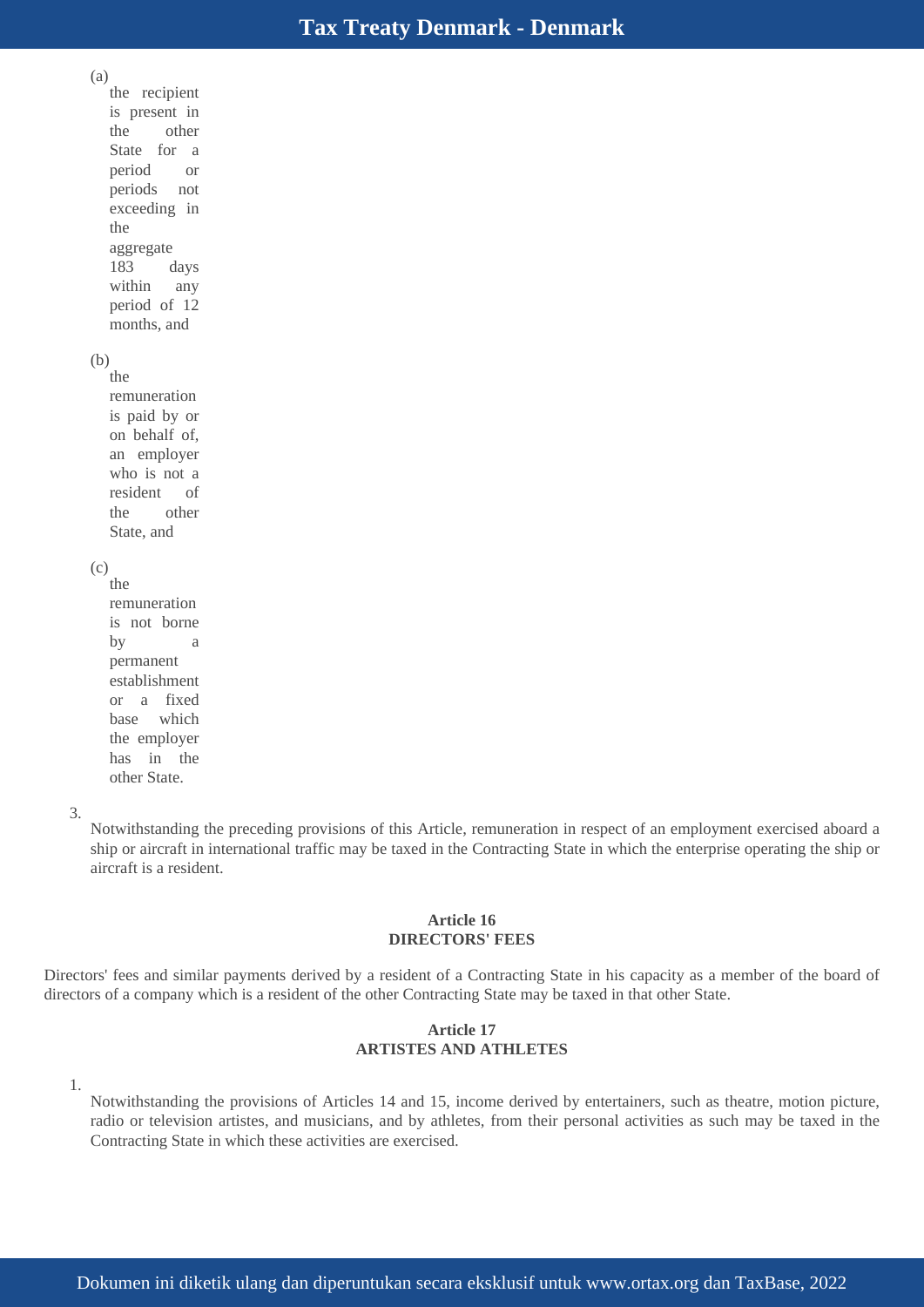(a)

the recipient is present in the other State for a period or periods not exceeding in the aggregate 183 days within any period of 12 months, and

(b)

the remuneration is paid by or on behalf of, an employer who is not a resident of the other State, and

(c)

the remuneration is not borne by a permanent establishment or a fixed base which the employer has in the other State.

3.

Notwithstanding the preceding provisions of this Article, remuneration in respect of an employment exercised aboard a ship or aircraft in international traffic may be taxed in the Contracting State in which the enterprise operating the ship or aircraft is a resident.

## **Article 16 DIRECTORS' FEES**

Directors' fees and similar payments derived by a resident of a Contracting State in his capacity as a member of the board of directors of a company which is a resident of the other Contracting State may be taxed in that other State.

# **Article 17 ARTISTES AND ATHLETES**

1.

Notwithstanding the provisions of Articles 14 and 15, income derived by entertainers, such as theatre, motion picture, radio or television artistes, and musicians, and by athletes, from their personal activities as such may be taxed in the Contracting State in which these activities are exercised.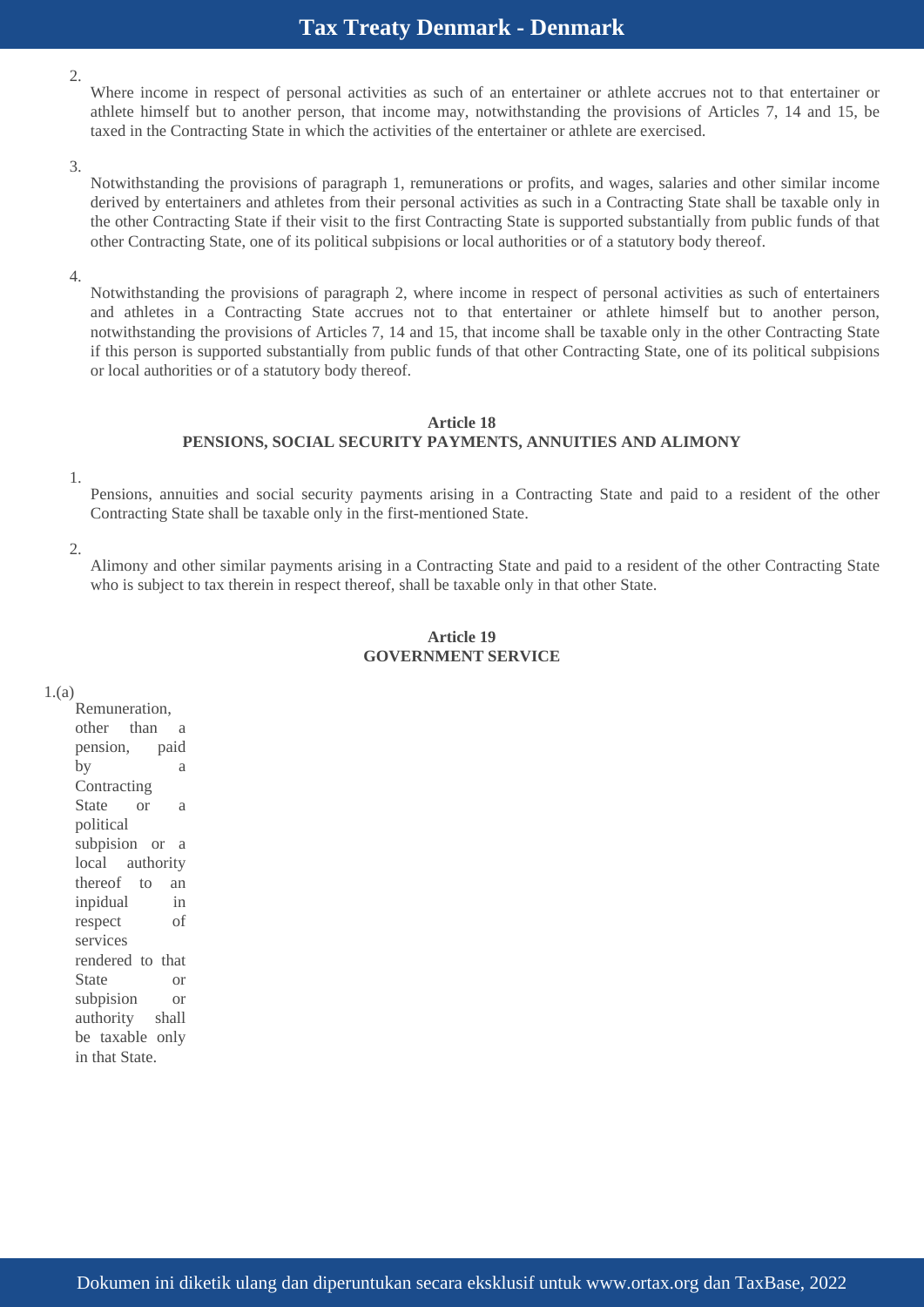# **Tax Treaty Denmark - Denmark**

Where income in respect of personal activities as such of an entertainer or athlete accrues not to that entertainer or athlete himself but to another person, that income may, notwithstanding the provisions of Articles 7, 14 and 15, be taxed in the Contracting State in which the activities of the entertainer or athlete are exercised.

#### 3.

2.

Notwithstanding the provisions of paragraph 1, remunerations or profits, and wages, salaries and other similar income derived by entertainers and athletes from their personal activities as such in a Contracting State shall be taxable only in the other Contracting State if their visit to the first Contracting State is supported substantially from public funds of that other Contracting State, one of its political subpisions or local authorities or of a statutory body thereof.

4.

Notwithstanding the provisions of paragraph 2, where income in respect of personal activities as such of entertainers and athletes in a Contracting State accrues not to that entertainer or athlete himself but to another person, notwithstanding the provisions of Articles 7, 14 and 15, that income shall be taxable only in the other Contracting State if this person is supported substantially from public funds of that other Contracting State, one of its political subpisions or local authorities or of a statutory body thereof.

# **Article 18 PENSIONS, SOCIAL SECURITY PAYMENTS, ANNUITIES AND ALIMONY**

1.

Pensions, annuities and social security payments arising in a Contracting State and paid to a resident of the other Contracting State shall be taxable only in the first-mentioned State.

2.

Alimony and other similar payments arising in a Contracting State and paid to a resident of the other Contracting State who is subject to tax therein in respect thereof, shall be taxable only in that other State.

# **Article 19 GOVERNMENT SERVICE**

1.(a)

Remuneration, other than a pension, paid by a Contracting State or a political subpision or a local authority thereof to an inpidual in respect of services rendered to that State or subpision or authority shall be taxable only in that State.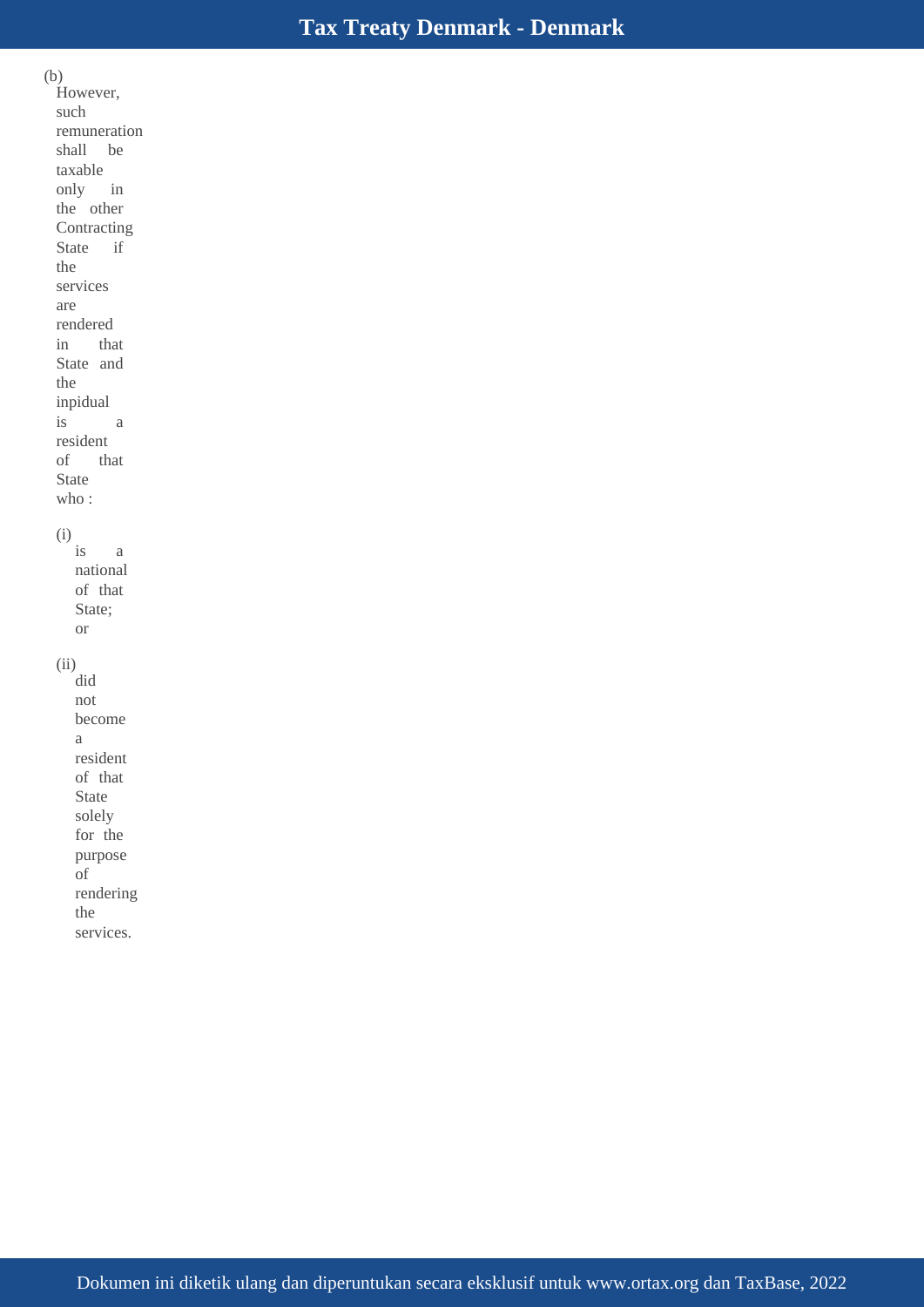(b) However, such remuneration shall be taxable only in the other Contracting State if the services are rendered in that State and the inpidual is a resident of that State who : (i) is a national

of that State; or

(ii)

did not become a resident of that State solely for the purpose of rendering the services.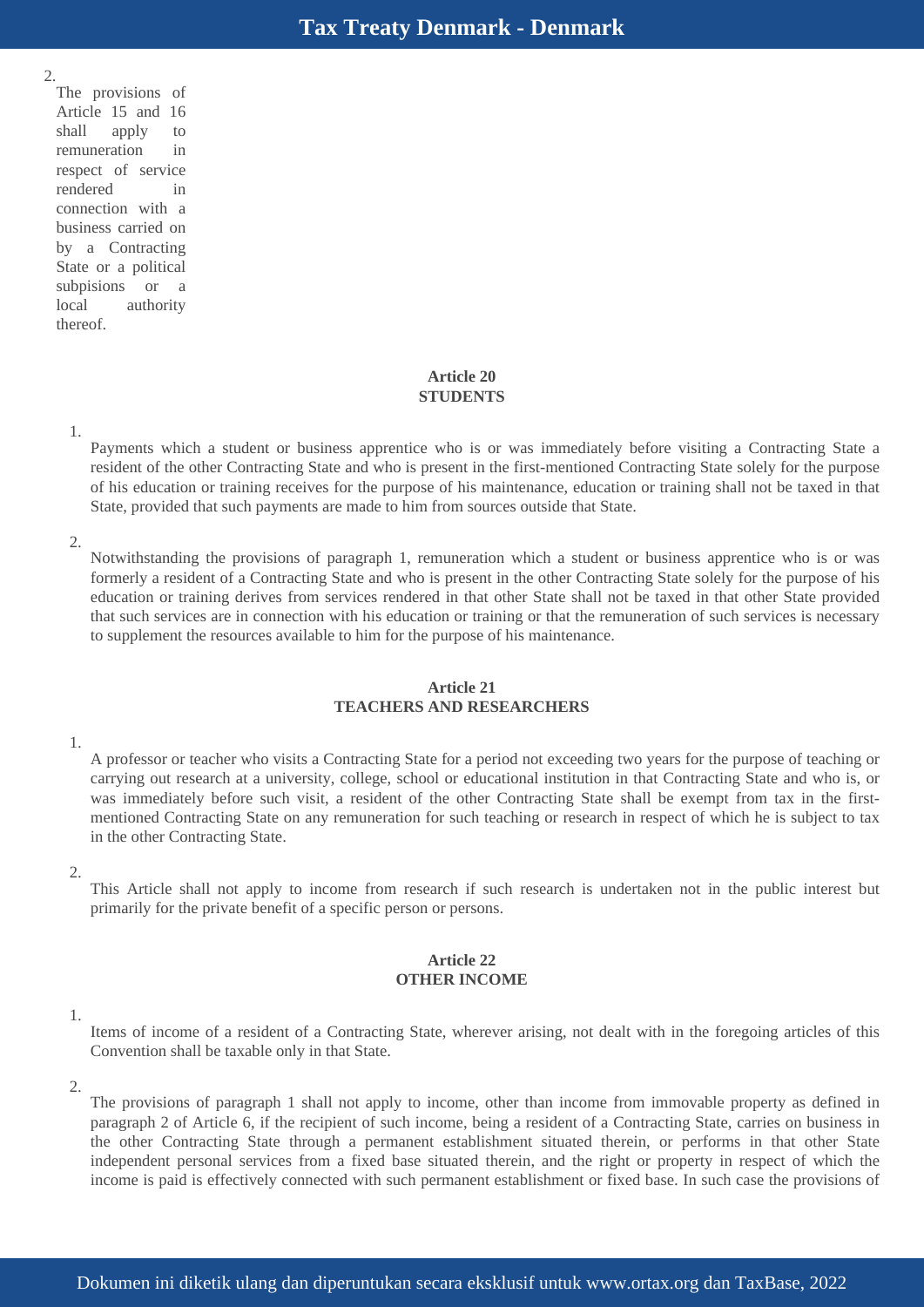2. The provisions of Article 15 and 16 shall apply to remuneration in respect of service rendered in connection with a business carried on by a Contracting State or a political subpisions or a local authority thereof.

# **Article 20 STUDENTS**

1.

Payments which a student or business apprentice who is or was immediately before visiting a Contracting State a resident of the other Contracting State and who is present in the first-mentioned Contracting State solely for the purpose of his education or training receives for the purpose of his maintenance, education or training shall not be taxed in that State, provided that such payments are made to him from sources outside that State.

2.

Notwithstanding the provisions of paragraph 1, remuneration which a student or business apprentice who is or was formerly a resident of a Contracting State and who is present in the other Contracting State solely for the purpose of his education or training derives from services rendered in that other State shall not be taxed in that other State provided that such services are in connection with his education or training or that the remuneration of such services is necessary to supplement the resources available to him for the purpose of his maintenance.

## **Article 21 TEACHERS AND RESEARCHERS**

1.

A professor or teacher who visits a Contracting State for a period not exceeding two years for the purpose of teaching or carrying out research at a university, college, school or educational institution in that Contracting State and who is, or was immediately before such visit, a resident of the other Contracting State shall be exempt from tax in the firstmentioned Contracting State on any remuneration for such teaching or research in respect of which he is subject to tax in the other Contracting State.

2.

This Article shall not apply to income from research if such research is undertaken not in the public interest but primarily for the private benefit of a specific person or persons.

# **Article 22 OTHER INCOME**

1.

Items of income of a resident of a Contracting State, wherever arising, not dealt with in the foregoing articles of this Convention shall be taxable only in that State.

2.

The provisions of paragraph 1 shall not apply to income, other than income from immovable property as defined in paragraph 2 of Article 6, if the recipient of such income, being a resident of a Contracting State, carries on business in the other Contracting State through a permanent establishment situated therein, or performs in that other State independent personal services from a fixed base situated therein, and the right or property in respect of which the income is paid is effectively connected with such permanent establishment or fixed base. In such case the provisions of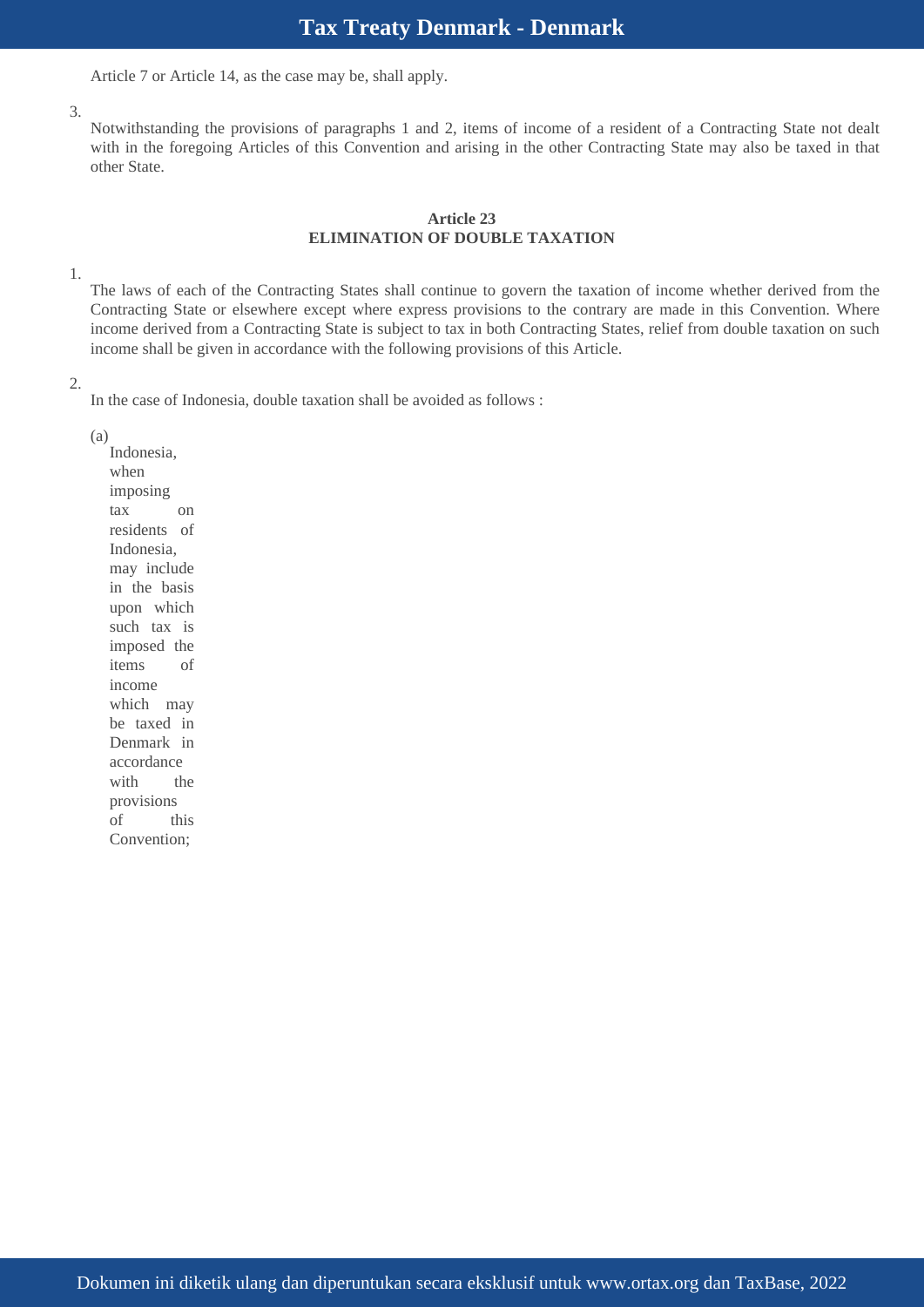Article 7 or Article 14, as the case may be, shall apply.

3.

Notwithstanding the provisions of paragraphs 1 and 2, items of income of a resident of a Contracting State not dealt with in the foregoing Articles of this Convention and arising in the other Contracting State may also be taxed in that other State.

# **Article 23 ELIMINATION OF DOUBLE TAXATION**

1.

The laws of each of the Contracting States shall continue to govern the taxation of income whether derived from the Contracting State or elsewhere except where express provisions to the contrary are made in this Convention. Where income derived from a Contracting State is subject to tax in both Contracting States, relief from double taxation on such income shall be given in accordance with the following provisions of this Article.

2.

In the case of Indonesia, double taxation shall be avoided as follows :

(a)

Indonesia, when imposing tax on residents of Indonesia, may include in the basis upon which such tax is imposed the items of income which may be taxed in Denmark in accordance with the provisions of this Convention;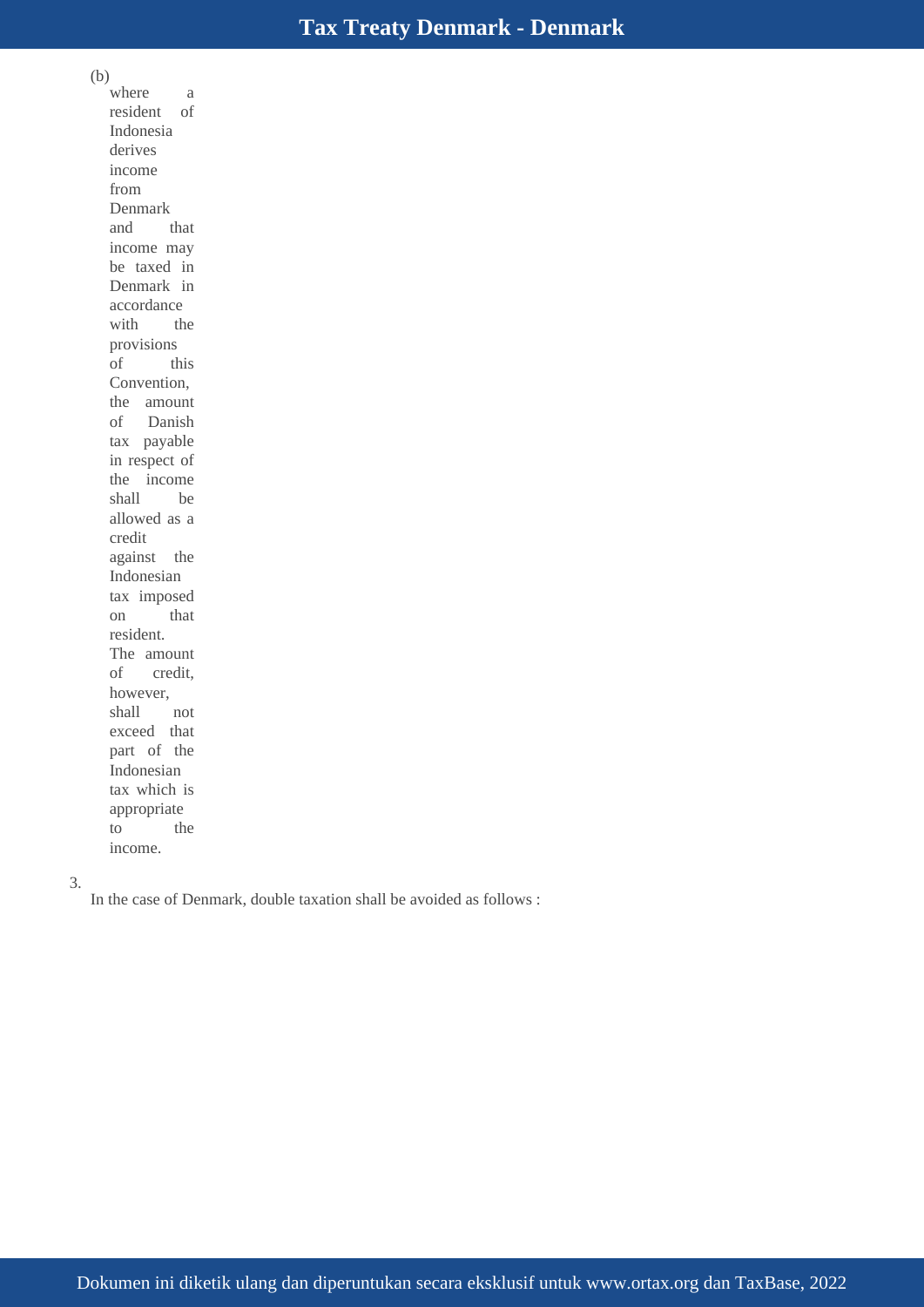(b) where a resident of Indonesia derives income from Denmark and that income may be taxed in Denmark in accordance with the provisions of this Convention, the amount of Danish tax payable in respect of the income shall be allowed as a credit against the Indonesian tax imposed on that resident. The amount of credit, however, shall not exceed that part of the Indonesian tax which is appropriate to the income.

### 3.

In the case of Denmark, double taxation shall be avoided as follows :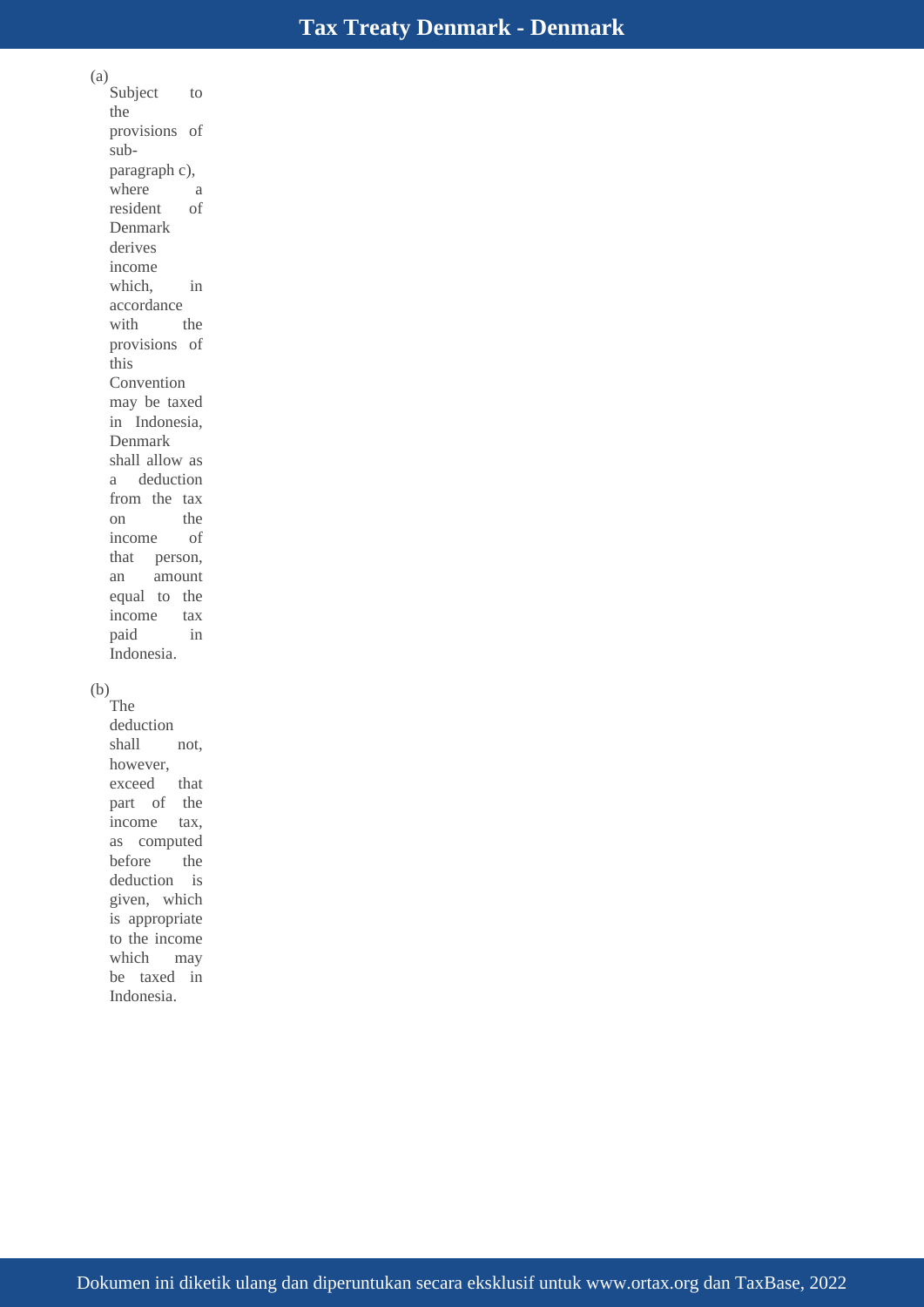Subject to the provisions of subparagraph c), where a resident of Denmark derives income which, in accordance with the provisions of this Convention may be taxed in Indonesia, Denmark shall allow as a deduction from the tax on the income of that person, an amount equal to the income tax paid in Indonesia.

(a)

# (b)

The deduction shall not, however, exceed that part of the income tax, as computed before the deduction is given, which is appropriate to the income which may be taxed in Indonesia.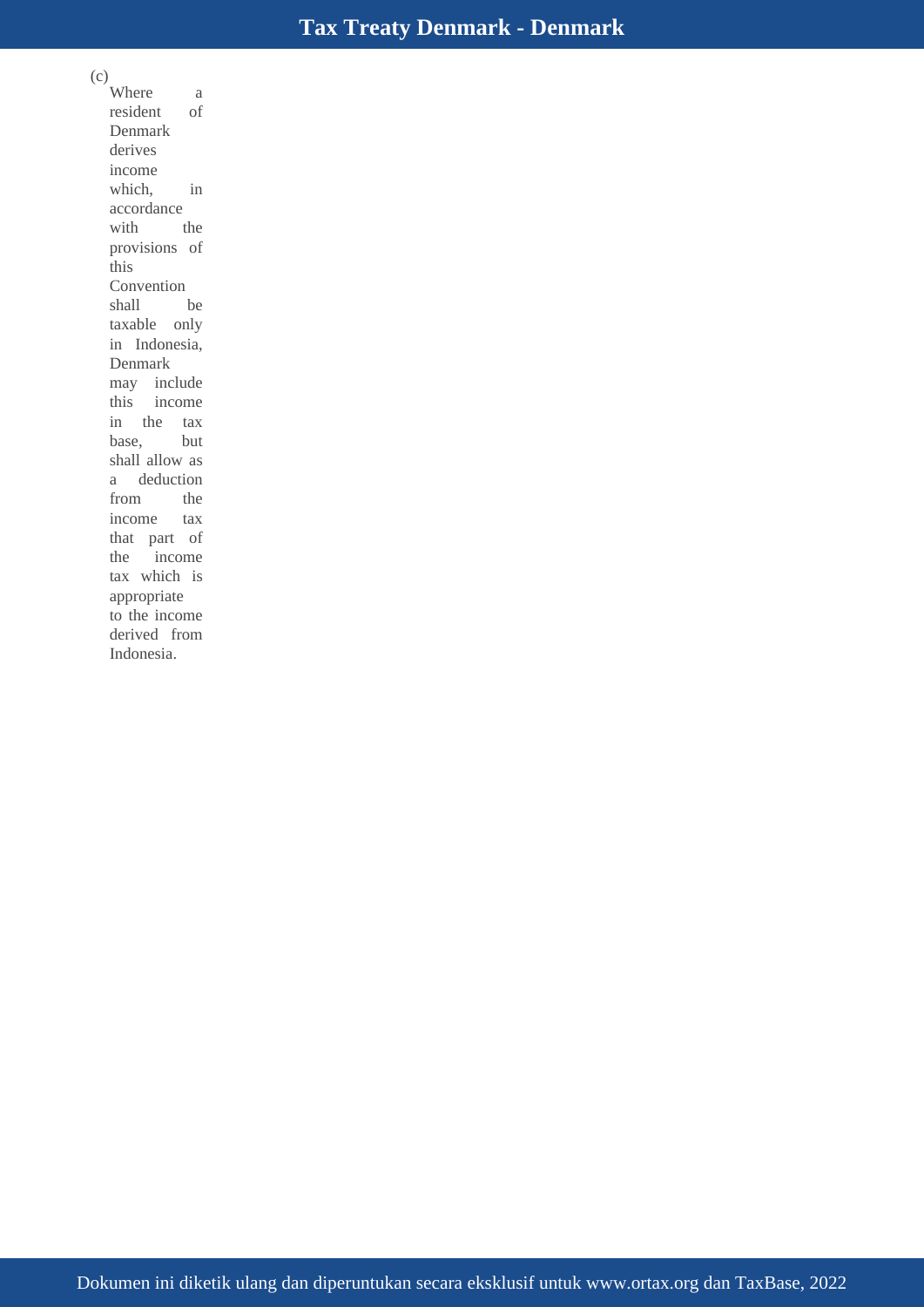Where a<br>resident of resident of Denmark derives income which, in accordance with the provisions of this Convention shall be taxable only in Indonesia, Denmark may include this income in the tax base, but shall allow as a deduction from the income tax that part of the income tax which is appropriate to the income derived from Indonesia.

(c)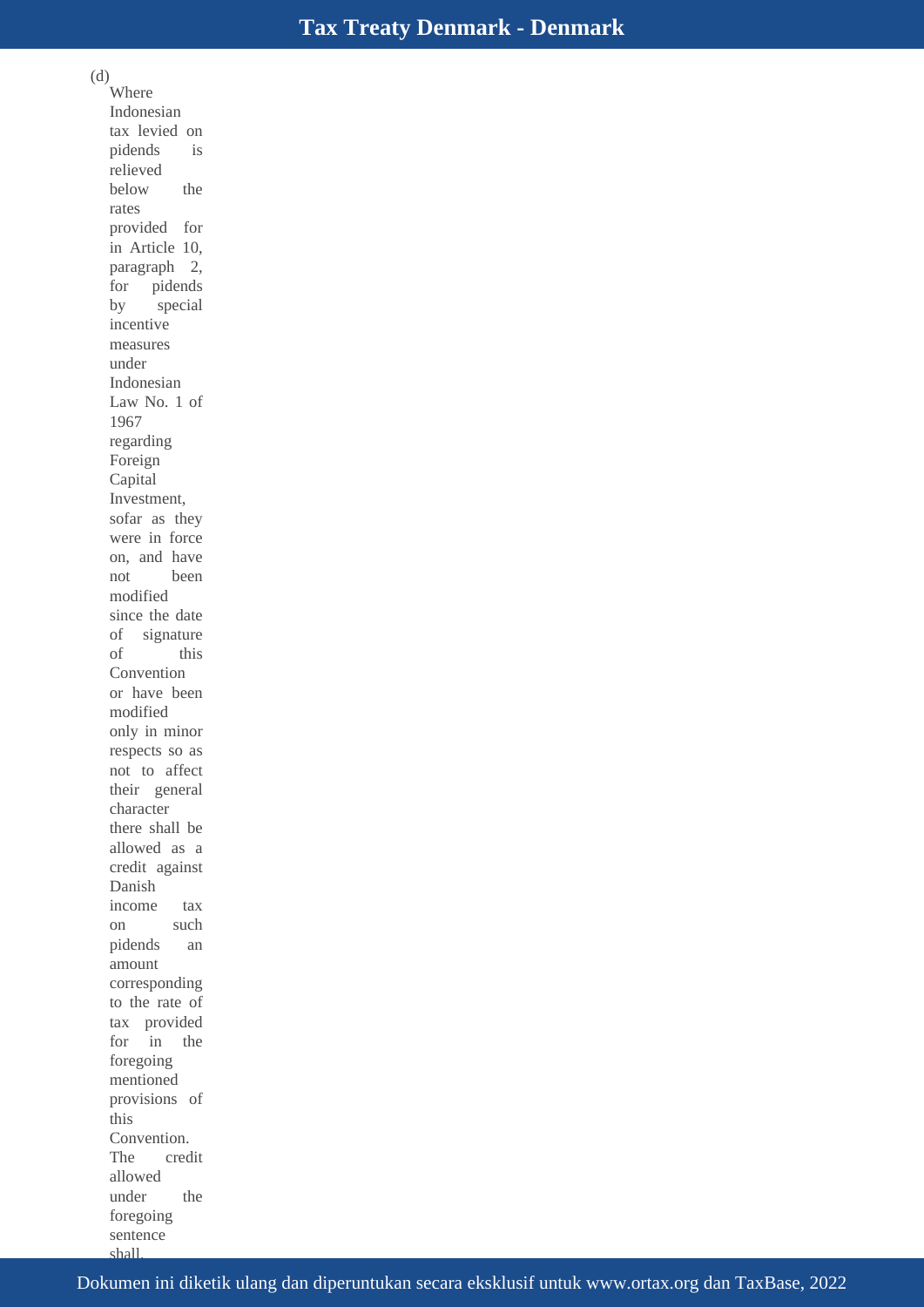(d) Where Indonesian tax levied on pidends is relieved below the rates provided for in Article 10, paragraph 2, for pidends by special incentive measures under Indonesian Law No. 1 of 1967 regarding Foreign Capital Investment, sofar as they were in force on, and have not been modified since the date of signature of this Convention or have been modified only in minor respects so as not to affect their general character there shall be allowed as a credit against Danish income tax on such pidends an amount corresponding to the rate of tax provided for in the foregoing mentioned provisions of this Convention. The credit allowed under the foregoing sentence

shall,

however, not all the contract of the contract of the contract of the contract of the contract of the contract <br>All the contract of the contract of the contract of the contract of the contract of the contract of the contrac Dokumen ini diketik ulang dan diperuntukan secara eksklusif untuk www.ortax.org dan TaxBase, 2022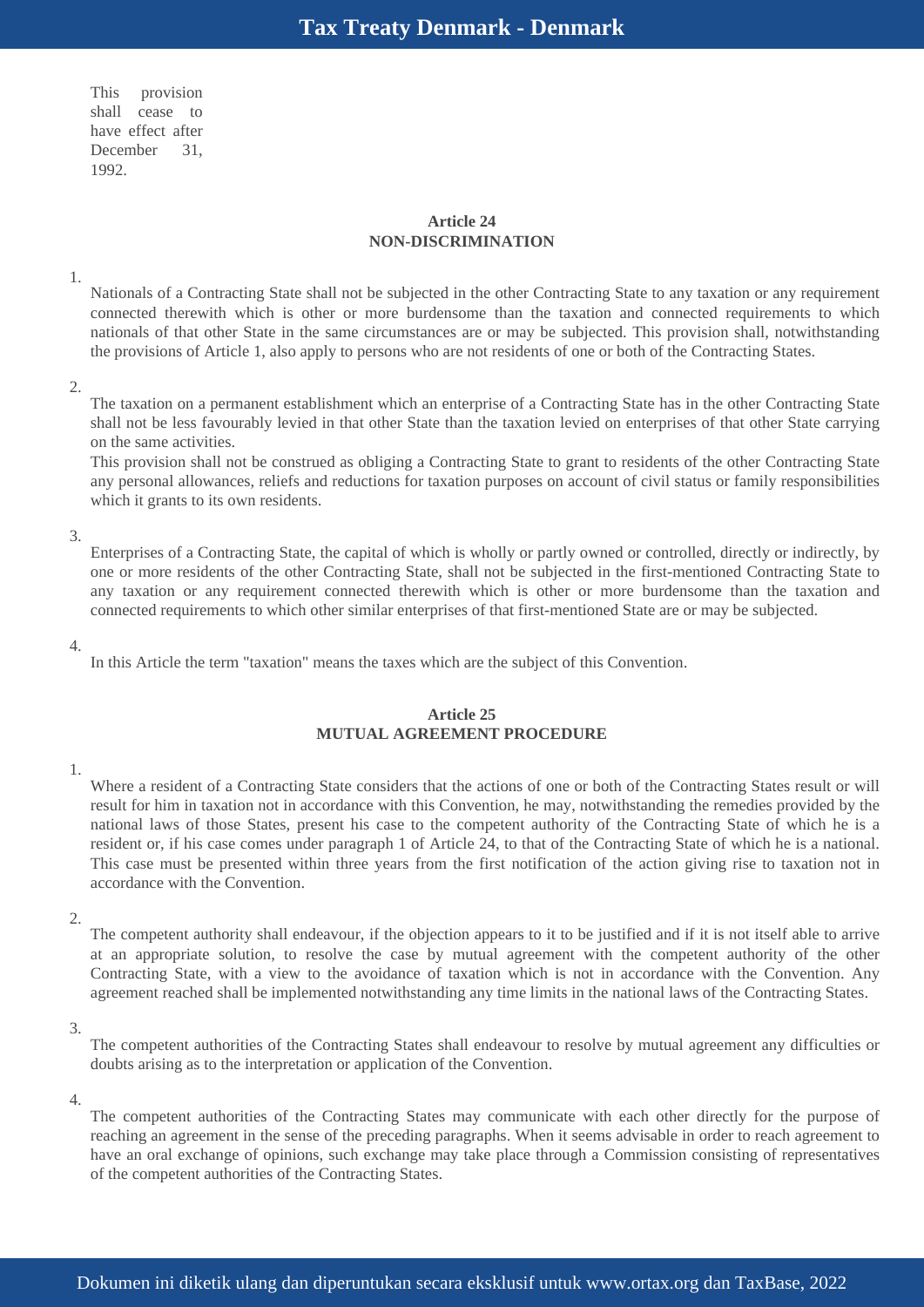This provision shall cease to have effect after December 31. 1992.

# **Article 24 NON-DISCRIMINATION**

1.

Nationals of a Contracting State shall not be subjected in the other Contracting State to any taxation or any requirement connected therewith which is other or more burdensome than the taxation and connected requirements to which nationals of that other State in the same circumstances are or may be subjected. This provision shall, notwithstanding the provisions of Article 1, also apply to persons who are not residents of one or both of the Contracting States.

2.

The taxation on a permanent establishment which an enterprise of a Contracting State has in the other Contracting State shall not be less favourably levied in that other State than the taxation levied on enterprises of that other State carrying on the same activities.

This provision shall not be construed as obliging a Contracting State to grant to residents of the other Contracting State any personal allowances, reliefs and reductions for taxation purposes on account of civil status or family responsibilities which it grants to its own residents.

3.

Enterprises of a Contracting State, the capital of which is wholly or partly owned or controlled, directly or indirectly, by one or more residents of the other Contracting State, shall not be subjected in the first-mentioned Contracting State to any taxation or any requirement connected therewith which is other or more burdensome than the taxation and connected requirements to which other similar enterprises of that first-mentioned State are or may be subjected.

4.

In this Article the term "taxation" means the taxes which are the subject of this Convention.

## **Article 25 MUTUAL AGREEMENT PROCEDURE**

1.

Where a resident of a Contracting State considers that the actions of one or both of the Contracting States result or will result for him in taxation not in accordance with this Convention, he may, notwithstanding the remedies provided by the national laws of those States, present his case to the competent authority of the Contracting State of which he is a resident or, if his case comes under paragraph 1 of Article 24, to that of the Contracting State of which he is a national. This case must be presented within three years from the first notification of the action giving rise to taxation not in accordance with the Convention.

2.

The competent authority shall endeavour, if the objection appears to it to be justified and if it is not itself able to arrive at an appropriate solution, to resolve the case by mutual agreement with the competent authority of the other Contracting State, with a view to the avoidance of taxation which is not in accordance with the Convention. Any agreement reached shall be implemented notwithstanding any time limits in the national laws of the Contracting States.

3.

The competent authorities of the Contracting States shall endeavour to resolve by mutual agreement any difficulties or doubts arising as to the interpretation or application of the Convention.

4.

The competent authorities of the Contracting States may communicate with each other directly for the purpose of reaching an agreement in the sense of the preceding paragraphs. When it seems advisable in order to reach agreement to have an oral exchange of opinions, such exchange may take place through a Commission consisting of representatives of the competent authorities of the Contracting States.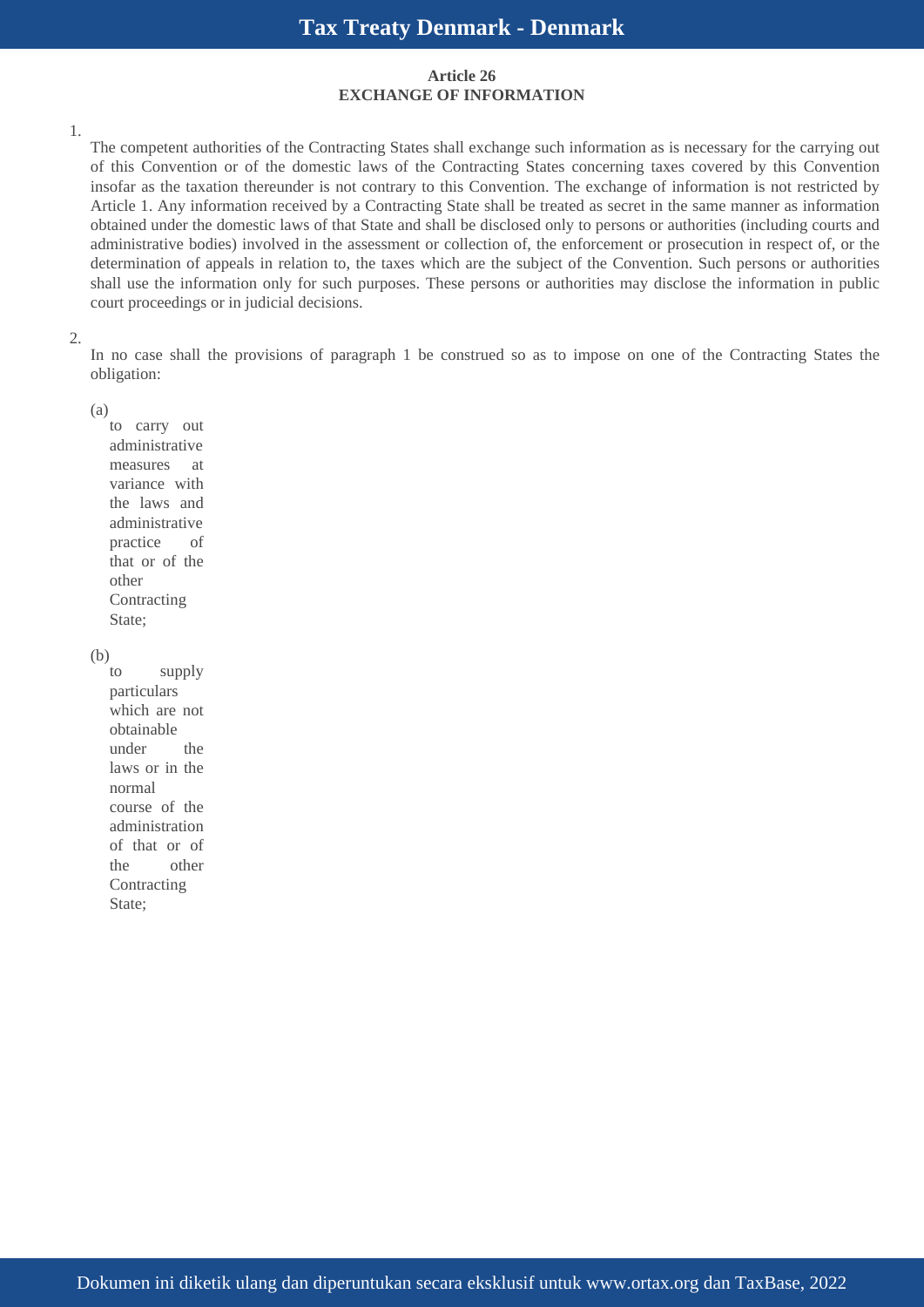# **Tax Treaty Denmark - Denmark**

# **Article 26 EXCHANGE OF INFORMATION**

1.

The competent authorities of the Contracting States shall exchange such information as is necessary for the carrying out of this Convention or of the domestic laws of the Contracting States concerning taxes covered by this Convention insofar as the taxation thereunder is not contrary to this Convention. The exchange of information is not restricted by Article 1. Any information received by a Contracting State shall be treated as secret in the same manner as information obtained under the domestic laws of that State and shall be disclosed only to persons or authorities (including courts and administrative bodies) involved in the assessment or collection of, the enforcement or prosecution in respect of, or the determination of appeals in relation to, the taxes which are the subject of the Convention. Such persons or authorities shall use the information only for such purposes. These persons or authorities may disclose the information in public court proceedings or in judicial decisions.

2.

In no case shall the provisions of paragraph 1 be construed so as to impose on one of the Contracting States the obligation:

(a)

to carry out administrative measures at variance with the laws and administrative practice of that or of the other Contracting State;

(b)

to supply particulars which are not obtainable under the laws or in the normal course of the administration of that or of the other Contracting State;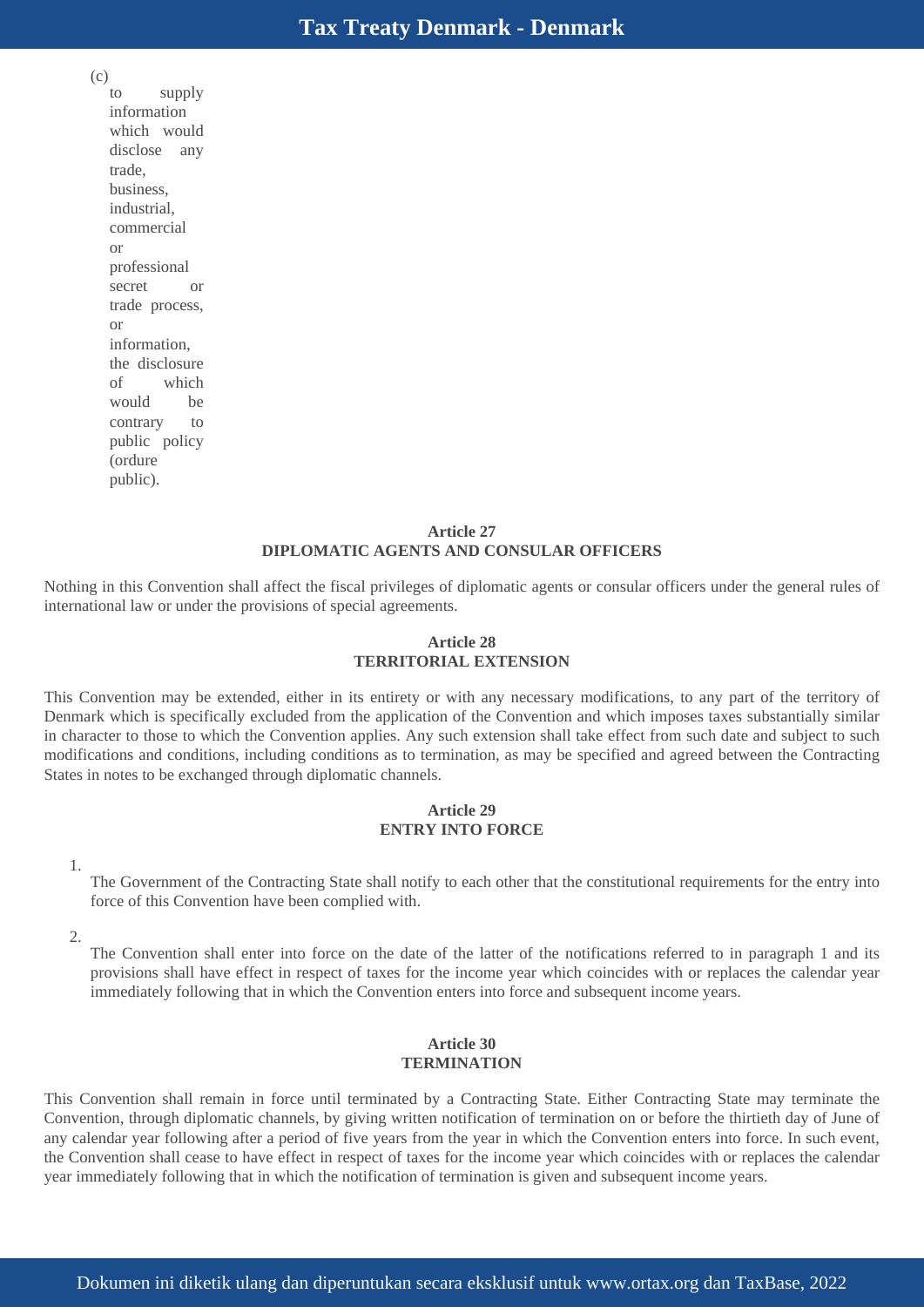$\frac{c}{\hbar}$ supply information which would disclose any trade, business, industrial, commercial or professional secret or trade process, or information, the disclosure of which would be contrary to public policy (ordure public).

# **Article 27 DIPLOMATIC AGENTS AND CONSULAR OFFICERS**

Nothing in this Convention shall affect the fiscal privileges of diplomatic agents or consular officers under the general rules of international law or under the provisions of special agreements.

# **Article 28 TERRITORIAL EXTENSION**

This Convention may be extended, either in its entirety or with any necessary modifications, to any part of the territory of Denmark which is specifically excluded from the application of the Convention and which imposes taxes substantially similar in character to those to which the Convention applies. Any such extension shall take effect from such date and subject to such modifications and conditions, including conditions as to termination, as may be specified and agreed between the Contracting States in notes to be exchanged through diplomatic channels.

# **Article 29 ENTRY INTO FORCE**

1.

The Government of the Contracting State shall notify to each other that the constitutional requirements for the entry into force of this Convention have been complied with.

2.

The Convention shall enter into force on the date of the latter of the notifications referred to in paragraph 1 and its provisions shall have effect in respect of taxes for the income year which coincides with or replaces the calendar year immediately following that in which the Convention enters into force and subsequent income years.

# **Article 30 TERMINATION**

This Convention shall remain in force until terminated by a Contracting State. Either Contracting State may terminate the Convention, through diplomatic channels, by giving written notification of termination on or before the thirtieth day of June of any calendar year following after a period of five years from the year in which the Convention enters into force. In such event, the Convention shall cease to have effect in respect of taxes for the income year which coincides with or replaces the calendar year immediately following that in which the notification of termination is given and subsequent income years.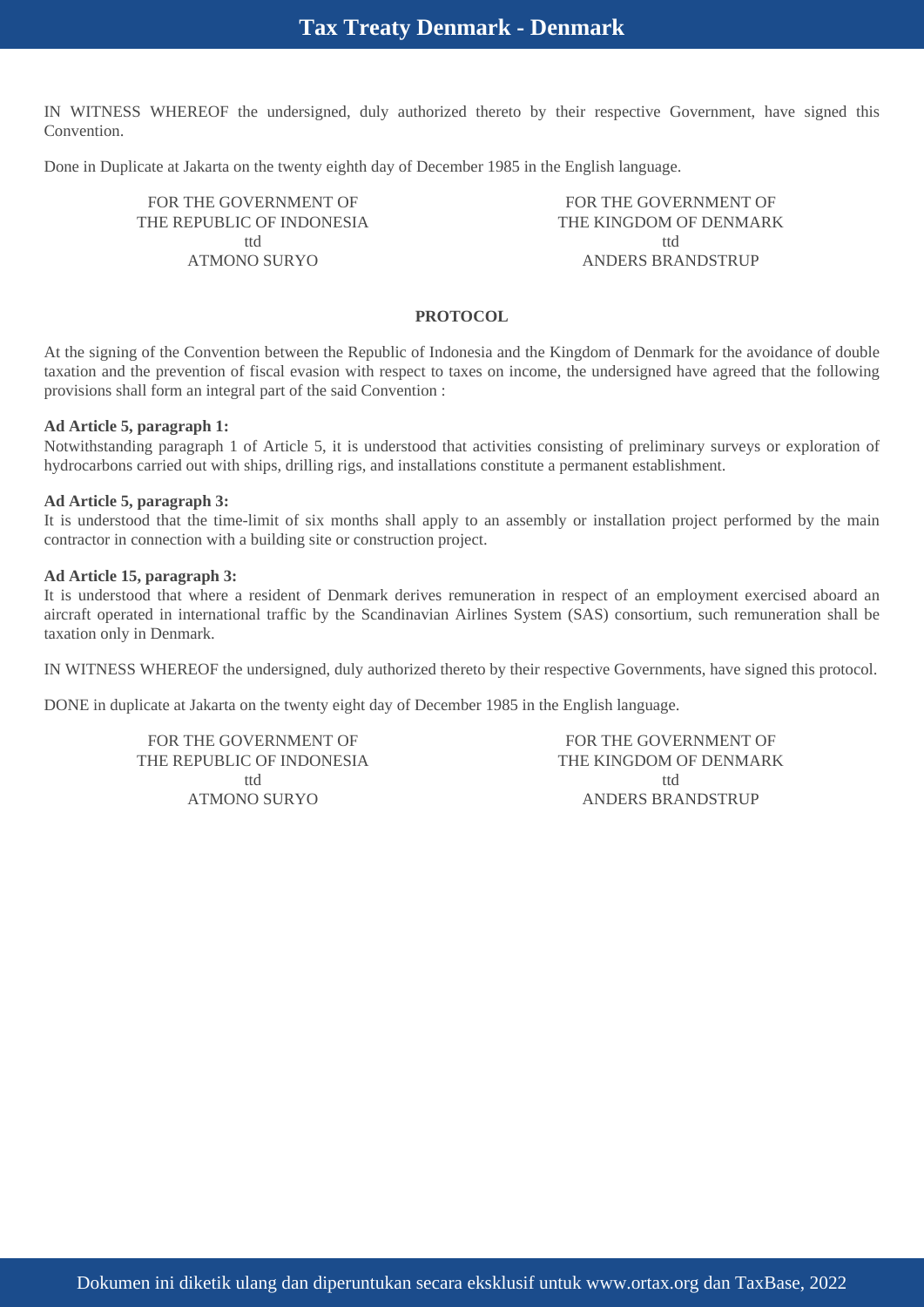IN WITNESS WHEREOF the undersigned, duly authorized thereto by their respective Government, have signed this Convention.

Done in Duplicate at Jakarta on the twenty eighth day of December 1985 in the English language.

FOR THE GOVERNMENT OF THE REPUBLIC OF INDONESIA ttd ATMONO SURYO

FOR THE GOVERNMENT OF THE KINGDOM OF DENMARK ttd ANDERS BRANDSTRUP

# **PROTOCOL**

At the signing of the Convention between the Republic of Indonesia and the Kingdom of Denmark for the avoidance of double taxation and the prevention of fiscal evasion with respect to taxes on income, the undersigned have agreed that the following provisions shall form an integral part of the said Convention :

## **Ad Article 5, paragraph 1:**

Notwithstanding paragraph 1 of Article 5, it is understood that activities consisting of preliminary surveys or exploration of hydrocarbons carried out with ships, drilling rigs, and installations constitute a permanent establishment.

## **Ad Article 5, paragraph 3:**

It is understood that the time-limit of six months shall apply to an assembly or installation project performed by the main contractor in connection with a building site or construction project.

## **Ad Article 15, paragraph 3:**

It is understood that where a resident of Denmark derives remuneration in respect of an employment exercised aboard an aircraft operated in international traffic by the Scandinavian Airlines System (SAS) consortium, such remuneration shall be taxation only in Denmark.

IN WITNESS WHEREOF the undersigned, duly authorized thereto by their respective Governments, have signed this protocol.

DONE in duplicate at Jakarta on the twenty eight day of December 1985 in the English language.

FOR THE GOVERNMENT OF THE REPUBLIC OF INDONESIA ttd ATMONO SURYO

FOR THE GOVERNMENT OF THE KINGDOM OF DENMARK ttd ANDERS BRANDSTRUP